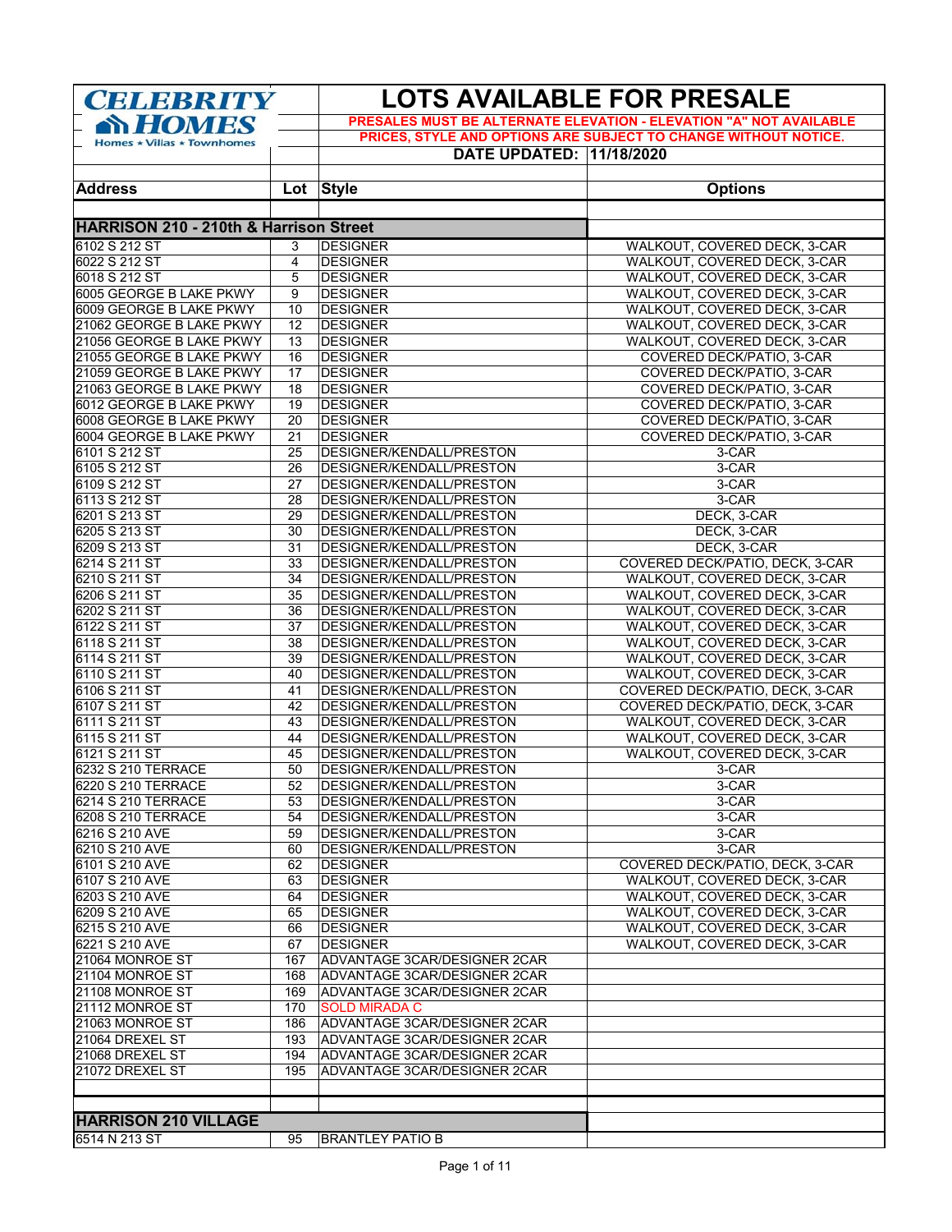| <b>CELEBRITY</b>                                   |                 |                                                      | <b>LOTS AVAILABLE FOR PRESALE</b><br>PRESALES MUST BE ALTERNATE ELEVATION - ELEVATION "A" NOT AVAILABLE |  |
|----------------------------------------------------|-----------------|------------------------------------------------------|---------------------------------------------------------------------------------------------------------|--|
| <b>SY HOMES</b>                                    |                 |                                                      | PRICES, STYLE AND OPTIONS ARE SUBJECT TO CHANGE WITHOUT NOTICE.                                         |  |
| Homes $\star$ Villas $\star$ Townhomes             |                 | DATE UPDATED: 11/18/2020                             |                                                                                                         |  |
|                                                    |                 |                                                      |                                                                                                         |  |
| <b>Address</b>                                     |                 | Lot Style                                            | <b>Options</b>                                                                                          |  |
|                                                    |                 |                                                      |                                                                                                         |  |
| <b>HARRISON 210 - 210th &amp; Harrison Street</b>  |                 |                                                      |                                                                                                         |  |
| 6102 S 212 ST                                      | 3               | <b>DESIGNER</b>                                      | WALKOUT, COVERED DECK, 3-CAR                                                                            |  |
| 6022 S 212 ST                                      | 4               | <b>DESIGNER</b>                                      | WALKOUT, COVERED DECK, 3-CAR                                                                            |  |
| 6018 S 212 ST                                      | 5               | <b>DESIGNER</b>                                      | WALKOUT, COVERED DECK, 3-CAR                                                                            |  |
| 6005 GEORGE B LAKE PKWY                            | 9               | <b>DESIGNER</b>                                      | WALKOUT, COVERED DECK, 3-CAR                                                                            |  |
| 6009 GEORGE B LAKE PKWY                            | 10              | <b>DESIGNER</b>                                      | WALKOUT, COVERED DECK, 3-CAR                                                                            |  |
| 21062 GEORGE B LAKE PKWY                           | 12              | <b>DESIGNER</b>                                      | WALKOUT, COVERED DECK, 3-CAR                                                                            |  |
| 21056 GEORGE B LAKE PKWY                           | $\overline{13}$ | <b>DESIGNER</b>                                      | WALKOUT, COVERED DECK, 3-CAR                                                                            |  |
| 21055 GEORGE B LAKE PKWY                           | 16              | <b>DESIGNER</b>                                      | COVERED DECK/PATIO, 3-CAR                                                                               |  |
| 21059 GEORGE B LAKE PKWY                           | 17              | <b>DESIGNER</b>                                      | COVERED DECK/PATIO, 3-CAR                                                                               |  |
| 21063 GEORGE B LAKE PKWY                           | 18              | DESIGNER                                             | COVERED DECK/PATIO, 3-CAR                                                                               |  |
| 6012 GEORGE B LAKE PKWY<br>6008 GEORGE B LAKE PKWY | 19<br>20        | <b>DESIGNER</b><br><b>DESIGNER</b>                   | COVERED DECK/PATIO, 3-CAR                                                                               |  |
| 6004 GEORGE B LAKE PKWY                            | 21              | <b>DESIGNER</b>                                      | COVERED DECK/PATIO, 3-CAR<br>COVERED DECK/PATIO, 3-CAR                                                  |  |
| 6101 S 212 ST                                      | 25              | DESIGNER/KENDALL/PRESTON                             | $3-CAR$                                                                                                 |  |
| 6105 S 212 ST                                      | 26              | DESIGNER/KENDALL/PRESTON                             | 3-CAR                                                                                                   |  |
| 6109 S 212 ST                                      | 27              | DESIGNER/KENDALL/PRESTON                             | 3-CAR                                                                                                   |  |
| 6113 S 212 ST                                      | 28              | DESIGNER/KENDALL/PRESTON                             | 3-CAR                                                                                                   |  |
| 6201 S 213 ST                                      | 29              | DESIGNER/KENDALL/PRESTON                             | DECK, 3-CAR                                                                                             |  |
| 6205 S 213 ST                                      | 30              | DESIGNER/KENDALL/PRESTON                             | DECK, 3-CAR                                                                                             |  |
| 6209 S 213 ST                                      | 31              | DESIGNER/KENDALL/PRESTON                             | DECK, 3-CAR                                                                                             |  |
| 6214 S 211 ST                                      | 33              | DESIGNER/KENDALL/PRESTON                             | COVERED DECK/PATIO, DECK, 3-CAR                                                                         |  |
| 6210 S 211 ST                                      | 34              | DESIGNER/KENDALL/PRESTON                             | WALKOUT, COVERED DECK, 3-CAR                                                                            |  |
| 6206 S 211 ST                                      | 35              | DESIGNER/KENDALL/PRESTON                             | WALKOUT, COVERED DECK, 3-CAR                                                                            |  |
| 6202 S 211 ST                                      | 36              | DESIGNER/KENDALL/PRESTON                             | WALKOUT, COVERED DECK, 3-CAR                                                                            |  |
| 6122 S 211 ST                                      | 37              | DESIGNER/KENDALL/PRESTON                             | WALKOUT, COVERED DECK, 3-CAR                                                                            |  |
| 6118 S 211 ST                                      | 38              | DESIGNER/KENDALL/PRESTON                             | WALKOUT, COVERED DECK, 3-CAR                                                                            |  |
| 6114 S 211 ST                                      | 39              | DESIGNER/KENDALL/PRESTON                             | WALKOUT, COVERED DECK, 3-CAR                                                                            |  |
| 6110 S 211 ST                                      | 40              | DESIGNER/KENDALL/PRESTON                             | WALKOUT, COVERED DECK, 3-CAR                                                                            |  |
| 6106 S 211 ST                                      | 41<br>42        | DESIGNER/KENDALL/PRESTON                             | COVERED DECK/PATIO, DECK, 3-CAR                                                                         |  |
| 6107 S 211 ST<br>6111 S 211 ST                     | 43              | DESIGNER/KENDALL/PRESTON<br>DESIGNER/KENDALL/PRESTON | COVERED DECK/PATIO, DECK, 3-CAR<br>WALKOUT, COVERED DECK, 3-CAR                                         |  |
| 6115 S 211 ST                                      | 44              | DESIGNER/KENDALL/PRESTON                             | WALKOUT, COVERED DECK, 3-CAR                                                                            |  |
| 6121 S 211 ST                                      | 45              | DESIGNER/KENDALL/PRESTON                             | WALKOUT, COVERED DECK, 3-CAR                                                                            |  |
| 6232 S 210 TERRACE                                 | 50              | DESIGNER/KENDALL/PRESTON                             | 3-CAR                                                                                                   |  |
| 6220 S 210 TERRACE                                 | 52              | DESIGNER/KENDALL/PRESTON                             | 3-CAR                                                                                                   |  |
| 6214 S 210 TERRACE                                 | 53              | DESIGNER/KENDALL/PRESTON                             | 3-CAR                                                                                                   |  |
| 6208 S 210 TERRACE                                 | 54              | DESIGNER/KENDALL/PRESTON                             | 3-CAR                                                                                                   |  |
| 6216 S 210 AVE                                     | 59              | DESIGNER/KENDALL/PRESTON                             | 3-CAR                                                                                                   |  |
| 6210 S 210 AVE                                     | 60              | DESIGNER/KENDALL/PRESTON                             | 3-CAR                                                                                                   |  |
| 6101 S 210 AVE                                     | 62              | <b>DESIGNER</b>                                      | COVERED DECK/PATIO, DECK, 3-CAR                                                                         |  |
| 6107 S 210 AVE                                     | 63              | <b>DESIGNER</b>                                      | WALKOUT, COVERED DECK, 3-CAR                                                                            |  |
| 6203 S 210 AVE                                     | 64              | <b>DESIGNER</b>                                      | WALKOUT, COVERED DECK, 3-CAR                                                                            |  |
| 6209 S 210 AVE                                     | 65              | <b>DESIGNER</b>                                      | WALKOUT, COVERED DECK, 3-CAR                                                                            |  |
| 6215 S 210 AVE                                     | 66              | <b>DESIGNER</b>                                      | WALKOUT, COVERED DECK, 3-CAR                                                                            |  |
| 6221 S 210 AVE                                     | 67              | <b>DESIGNER</b>                                      | WALKOUT, COVERED DECK, 3-CAR                                                                            |  |
| 21064 MONROE ST                                    | 167             | ADVANTAGE 3CAR/DESIGNER 2CAR                         |                                                                                                         |  |
| 21104 MONROE ST                                    | 168             | ADVANTAGE 3CAR/DESIGNER 2CAR                         |                                                                                                         |  |
| 21108 MONROE ST<br>21112 MONROE ST                 | 169<br>170      | ADVANTAGE 3CAR/DESIGNER 2CAR<br><b>SOLD MIRADA C</b> |                                                                                                         |  |
| 21063 MONROE ST                                    | 186             | ADVANTAGE 3CAR/DESIGNER 2CAR                         |                                                                                                         |  |
| 21064 DREXEL ST                                    | 193             | ADVANTAGE 3CAR/DESIGNER 2CAR                         |                                                                                                         |  |
| 21068 DREXEL ST                                    | 194             | ADVANTAGE 3CAR/DESIGNER 2CAR                         |                                                                                                         |  |
| 21072 DREXEL ST                                    | 195             | ADVANTAGE 3CAR/DESIGNER 2CAR                         |                                                                                                         |  |
|                                                    |                 |                                                      |                                                                                                         |  |
|                                                    |                 |                                                      |                                                                                                         |  |
| <b>HARRISON 210 VILLAGE</b>                        |                 |                                                      |                                                                                                         |  |
| 6514 N 213 ST                                      | 95              | <b>BRANTLEY PATIO B</b>                              |                                                                                                         |  |
|                                                    |                 |                                                      |                                                                                                         |  |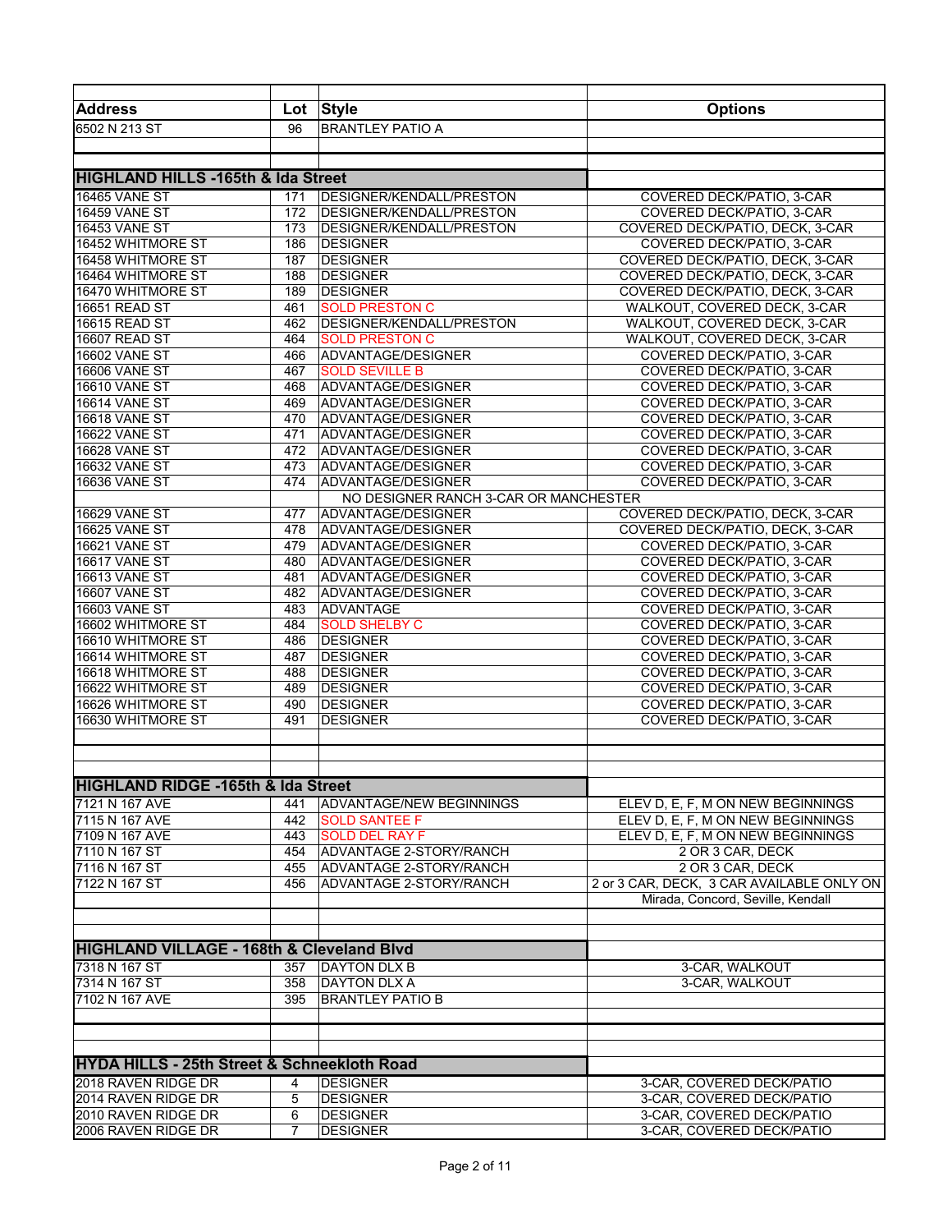| <b>Address</b>                                         | Lot        | <b>Style</b>                             | <b>Options</b>                            |
|--------------------------------------------------------|------------|------------------------------------------|-------------------------------------------|
| 6502 N 213 ST                                          | 96         | <b>BRANTLEY PATIO A</b>                  |                                           |
|                                                        |            |                                          |                                           |
|                                                        |            |                                          |                                           |
| <b>HIGHLAND HILLS -165th &amp; Ida Street</b>          |            |                                          |                                           |
| <b>16465 VANE ST</b>                                   | 171        | DESIGNER/KENDALL/PRESTON                 | COVERED DECK/PATIO, 3-CAR                 |
| <b>16459 VANE ST</b>                                   | 172        | DESIGNER/KENDALL/PRESTON                 | COVERED DECK/PATIO, 3-CAR                 |
| <b>16453 VANE ST</b>                                   | 173        | DESIGNER/KENDALL/PRESTON                 | COVERED DECK/PATIO, DECK, 3-CAR           |
| 16452 WHITMORE ST                                      | 186        | <b>DESIGNER</b>                          | COVERED DECK/PATIO, 3-CAR                 |
| 16458 WHITMORE ST                                      | 187        | <b>DESIGNER</b>                          | COVERED DECK/PATIO, DECK, 3-CAR           |
| 16464 WHITMORE ST                                      | 188        | <b>DESIGNER</b>                          | COVERED DECK/PATIO, DECK, 3-CAR           |
| 16470 WHITMORE ST                                      | 189        | <b>DESIGNER</b>                          | COVERED DECK/PATIO, DECK, 3-CAR           |
| 16651 READ ST                                          | 461        | <b>SOLD PRESTON C</b>                    | WALKOUT, COVERED DECK, 3-CAR              |
| 16615 READ ST                                          | 462        | DESIGNER/KENDALL/PRESTON                 | WALKOUT, COVERED DECK, 3-CAR              |
| 16607 READ ST                                          | 464        | <b>SOLD PRESTON C</b>                    | WALKOUT, COVERED DECK, 3-CAR              |
| <b>16602 VANE ST</b>                                   | 466        | ADVANTAGE/DESIGNER                       | COVERED DECK/PATIO, 3-CAR                 |
| <b>16606 VANE ST</b>                                   | 467        | <b>SOLD SEVILLE B</b>                    | COVERED DECK/PATIO, 3-CAR                 |
| <b>16610 VANE ST</b>                                   | 468        | ADVANTAGE/DESIGNER                       | COVERED DECK/PATIO, 3-CAR                 |
| <b>16614 VANE ST</b>                                   | 469        | ADVANTAGE/DESIGNER                       | COVERED DECK/PATIO, 3-CAR                 |
| <b>16618 VANE ST</b>                                   | 470        | ADVANTAGE/DESIGNER                       | COVERED DECK/PATIO, 3-CAR                 |
| <b>16622 VANE ST</b><br><b>16628 VANE ST</b>           | 471        | ADVANTAGE/DESIGNER                       | COVERED DECK/PATIO, 3-CAR                 |
|                                                        | 472        | ADVANTAGE/DESIGNER                       | COVERED DECK/PATIO, 3-CAR                 |
| 16632 VANE ST<br><b>16636 VANE ST</b>                  | 473<br>474 | ADVANTAGE/DESIGNER<br>ADVANTAGE/DESIGNER | COVERED DECK/PATIO, 3-CAR                 |
|                                                        |            | NO DESIGNER RANCH 3-CAR OR MANCHESTER    | COVERED DECK/PATIO, 3-CAR                 |
| <b>16629 VANE ST</b>                                   | 477        | ADVANTAGE/DESIGNER                       | COVERED DECK/PATIO, DECK, 3-CAR           |
| <b>16625 VANE ST</b>                                   | 478        | ADVANTAGE/DESIGNER                       | COVERED DECK/PATIO, DECK, 3-CAR           |
| <b>16621 VANE ST</b>                                   | 479        | ADVANTAGE/DESIGNER                       | COVERED DECK/PATIO, 3-CAR                 |
| <b>16617 VANE ST</b>                                   | 480        | ADVANTAGE/DESIGNER                       | COVERED DECK/PATIO, 3-CAR                 |
| <b>16613 VANE ST</b>                                   | 481        | ADVANTAGE/DESIGNER                       | COVERED DECK/PATIO, 3-CAR                 |
| <b>16607 VANE ST</b>                                   | 482        | ADVANTAGE/DESIGNER                       | COVERED DECK/PATIO, 3-CAR                 |
| 16603 VANE ST                                          | 483        | <b>ADVANTAGE</b>                         | COVERED DECK/PATIO, 3-CAR                 |
| 16602 WHITMORE ST                                      | 484        | <b>SOLD SHELBY C</b>                     | COVERED DECK/PATIO, 3-CAR                 |
| 16610 WHITMORE ST                                      | 486        | <b>DESIGNER</b>                          | COVERED DECK/PATIO, 3-CAR                 |
| 16614 WHITMORE ST                                      | 487        | <b>DESIGNER</b>                          | COVERED DECK/PATIO, 3-CAR                 |
| 16618 WHITMORE ST                                      | 488        | <b>DESIGNER</b>                          | COVERED DECK/PATIO, 3-CAR                 |
| 16622 WHITMORE ST                                      | 489        | <b>DESIGNER</b>                          | COVERED DECK/PATIO, 3-CAR                 |
| 16626 WHITMORE ST                                      | 490        | <b>DESIGNER</b>                          | COVERED DECK/PATIO, 3-CAR                 |
| 16630 WHITMORE ST                                      | 491        | <b>DESIGNER</b>                          | COVERED DECK/PATIO, 3-CAR                 |
|                                                        |            |                                          |                                           |
|                                                        |            |                                          |                                           |
|                                                        |            |                                          |                                           |
| <b>HIGHLAND RIDGE -165th &amp; Ida Street</b>          |            |                                          |                                           |
| 7121 N 167 AVE                                         | 441        | <b>ADVANTAGE/NEW BEGINNINGS</b>          | ELEV D, E, F, M ON NEW BEGINNINGS         |
| 7115 N 167 AVE                                         | 442        | <b>SOLD SANTEE F</b>                     | ELEV D, E, F, M ON NEW BEGINNINGS         |
| 7109 N 167 AVE                                         | 443        | <b>SOLD DEL RAY F</b>                    | ELEV D, E, F, M ON NEW BEGINNINGS         |
| 7110 N 167 ST                                          | 454        | ADVANTAGE 2-STORY/RANCH                  | 2 OR 3 CAR, DECK                          |
| 7116 N 167 ST                                          | 455        | ADVANTAGE 2-STORY/RANCH                  | 2 OR 3 CAR, DECK                          |
| 7122 N 167 ST                                          | 456        | ADVANTAGE 2-STORY/RANCH                  | 2 or 3 CAR, DECK, 3 CAR AVAILABLE ONLY ON |
|                                                        |            |                                          | Mirada, Concord, Seville, Kendall         |
|                                                        |            |                                          |                                           |
|                                                        |            |                                          |                                           |
| <b>HIGHLAND VILLAGE - 168th &amp; Cleveland Blvd</b>   |            |                                          |                                           |
| 7318 N 167 ST                                          | 357        | <b>DAYTON DLX B</b>                      | 3-CAR, WALKOUT                            |
| 7314 N 167 ST                                          | 358        | <b>DAYTON DLX A</b>                      | 3-CAR, WALKOUT                            |
| 7102 N 167 AVE                                         | 395        | <b>BRANTLEY PATIO B</b>                  |                                           |
|                                                        |            |                                          |                                           |
|                                                        |            |                                          |                                           |
|                                                        |            |                                          |                                           |
| <b>HYDA HILLS - 25th Street &amp; Schneekloth Road</b> |            |                                          |                                           |
| 2018 RAVEN RIDGE DR                                    | 4          | <b>DESIGNER</b>                          | 3-CAR, COVERED DECK/PATIO                 |
| 2014 RAVEN RIDGE DR                                    | 5          | <b>DESIGNER</b>                          | 3-CAR, COVERED DECK/PATIO                 |
| 2010 RAVEN RIDGE DR                                    | 6          | <b>DESIGNER</b>                          | 3-CAR, COVERED DECK/PATIO                 |
| 2006 RAVEN RIDGE DR                                    | 7          | <b>DESIGNER</b>                          | 3-CAR, COVERED DECK/PATIO                 |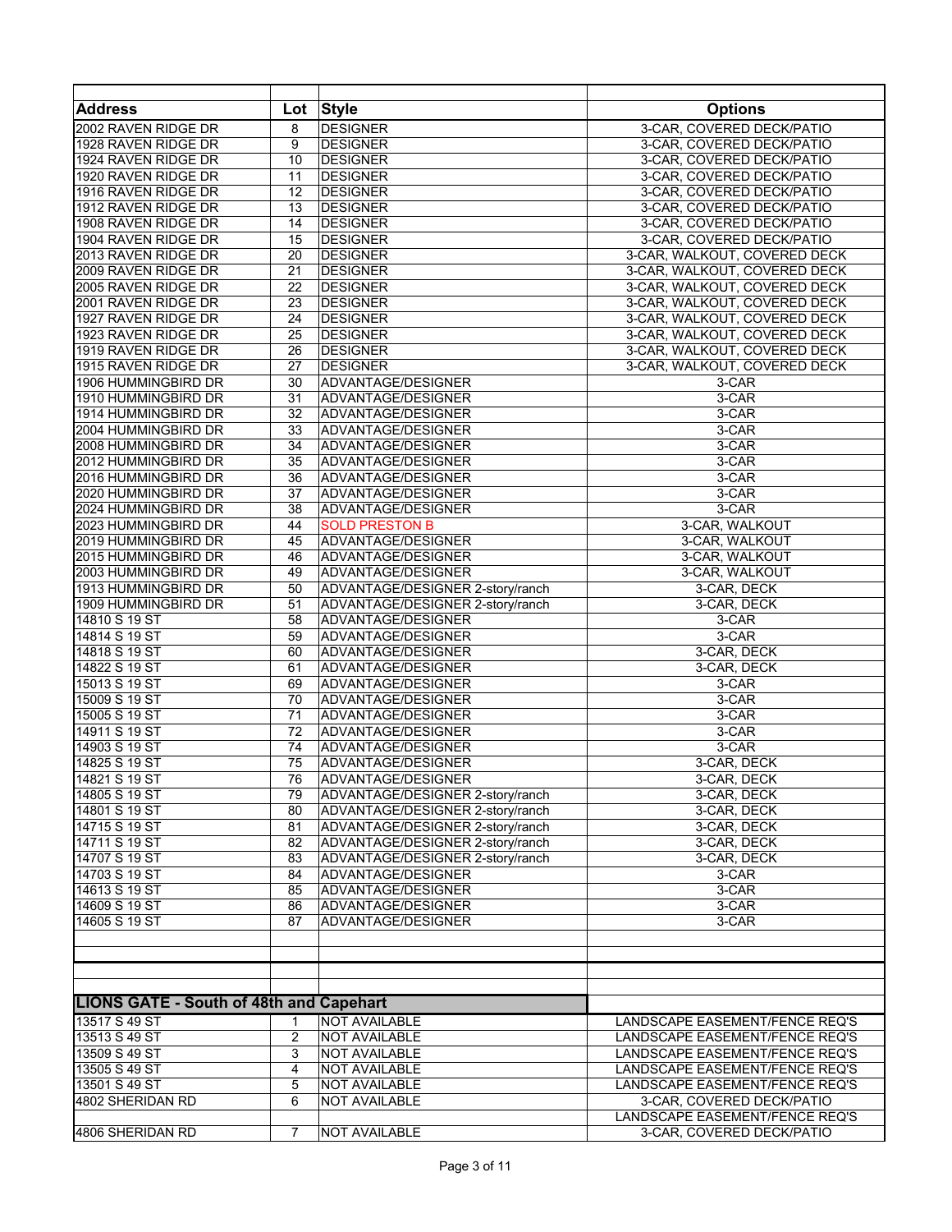| <b>Address</b>                                 | Lot            | <b>Style</b>                     | <b>Options</b>                 |
|------------------------------------------------|----------------|----------------------------------|--------------------------------|
| 2002 RAVEN RIDGE DR                            | 8              | <b>DESIGNER</b>                  | 3-CAR, COVERED DECK/PATIO      |
| 1928 RAVEN RIDGE DR                            | 9              | <b>DESIGNER</b>                  | 3-CAR, COVERED DECK/PATIO      |
| 1924 RAVEN RIDGE DR                            | 10             | <b>DESIGNER</b>                  | 3-CAR, COVERED DECK/PATIO      |
| 1920 RAVEN RIDGE DR                            | 11             | <b>DESIGNER</b>                  | 3-CAR, COVERED DECK/PATIO      |
| 1916 RAVEN RIDGE DR                            | 12             | <b>DESIGNER</b>                  | 3-CAR, COVERED DECK/PATIO      |
| 1912 RAVEN RIDGE DR                            | 13             | <b>DESIGNER</b>                  | 3-CAR, COVERED DECK/PATIO      |
| 1908 RAVEN RIDGE DR                            | 14             | <b>DESIGNER</b>                  | 3-CAR, COVERED DECK/PATIO      |
| 1904 RAVEN RIDGE DR                            | 15             | <b>DESIGNER</b>                  | 3-CAR, COVERED DECK/PATIO      |
| 2013 RAVEN RIDGE DR                            | 20             | <b>DESIGNER</b>                  | 3-CAR, WALKOUT, COVERED DECK   |
| 2009 RAVEN RIDGE DR                            | 21             | <b>DESIGNER</b>                  | 3-CAR, WALKOUT, COVERED DECK   |
| 2005 RAVEN RIDGE DR                            | 22             | <b>DESIGNER</b>                  | 3-CAR, WALKOUT, COVERED DECK   |
| 2001 RAVEN RIDGE DR                            |                |                                  |                                |
|                                                | 23             | <b>DESIGNER</b>                  | 3-CAR, WALKOUT, COVERED DECK   |
| 1927 RAVEN RIDGE DR                            | 24             | <b>DESIGNER</b>                  | 3-CAR, WALKOUT, COVERED DECK   |
| 1923 RAVEN RIDGE DR                            | 25             | <b>DESIGNER</b>                  | 3-CAR, WALKOUT, COVERED DECK   |
| 1919 RAVEN RIDGE DR                            | 26             | <b>DESIGNER</b>                  | 3-CAR, WALKOUT, COVERED DECK   |
| 1915 RAVEN RIDGE DR                            | 27             | <b>DESIGNER</b>                  | 3-CAR, WALKOUT, COVERED DECK   |
| 1906 HUMMINGBIRD DR                            | 30             | ADVANTAGE/DESIGNER               | 3-CAR                          |
| 1910 HUMMINGBIRD DR                            | 31             | ADVANTAGE/DESIGNER               | 3-CAR                          |
| 1914 HUMMINGBIRD DR                            | 32             | ADVANTAGE/DESIGNER               | 3-CAR                          |
| 2004 HUMMINGBIRD DR                            | 33             | ADVANTAGE/DESIGNER               | 3-CAR                          |
| 2008 HUMMINGBIRD DR                            | 34             | ADVANTAGE/DESIGNER               | 3-CAR                          |
| 2012 HUMMINGBIRD DR                            | 35             | ADVANTAGE/DESIGNER               | 3-CAR                          |
| 2016 HUMMINGBIRD DR                            | 36             | ADVANTAGE/DESIGNER               | 3-CAR                          |
| 2020 HUMMINGBIRD DR                            | 37             | ADVANTAGE/DESIGNER               | 3-CAR                          |
| 2024 HUMMINGBIRD DR                            | 38             | ADVANTAGE/DESIGNER               | $3-CAR$                        |
| 2023 HUMMINGBIRD DR                            | 44             | <b>SOLD PRESTON B</b>            | 3-CAR, WALKOUT                 |
| 2019 HUMMINGBIRD DR                            | 45             | ADVANTAGE/DESIGNER               | 3-CAR, WALKOUT                 |
| 2015 HUMMINGBIRD DR                            | 46             | ADVANTAGE/DESIGNER               | 3-CAR, WALKOUT                 |
| 2003 HUMMINGBIRD DR                            | 49             | ADVANTAGE/DESIGNER               | 3-CAR, WALKOUT                 |
| 1913 HUMMINGBIRD DR                            | 50             | ADVANTAGE/DESIGNER 2-story/ranch | 3-CAR, DECK                    |
| 1909 HUMMINGBIRD DR                            | 51             | ADVANTAGE/DESIGNER 2-story/ranch | 3-CAR, DECK                    |
| 14810 S 19 ST                                  | 58             | ADVANTAGE/DESIGNER               | 3-CAR                          |
| 14814 S 19 ST                                  | 59             | ADVANTAGE/DESIGNER               | 3-CAR                          |
| 14818 S 19 ST                                  | 60             | ADVANTAGE/DESIGNER               | 3-CAR, DECK                    |
| 14822 S 19 ST                                  | 61             | ADVANTAGE/DESIGNER               | 3-CAR, DECK                    |
| 15013 S 19 ST                                  | 69             | ADVANTAGE/DESIGNER               | 3-CAR                          |
| 15009 S 19 ST                                  | 70             | ADVANTAGE/DESIGNER               | 3-CAR                          |
| 15005 S 19 ST                                  | 71             | ADVANTAGE/DESIGNER               | 3-CAR                          |
| 14911 S 19 ST                                  | 72             | ADVANTAGE/DESIGNER               | 3-CAR                          |
| 14903 S 19 ST                                  | 74             | ADVANTAGE/DESIGNER               | 3-CAR                          |
| 14825 S 19 ST                                  | 75             | ADVANTAGE/DESIGNER               | 3-CAR, DECK                    |
| 14821 S 19 ST                                  | 76             | ADVANTAGE/DESIGNER               | 3-CAR, DECK                    |
| 14805 S 19 ST                                  | 79             | ADVANTAGE/DESIGNER 2-story/ranch | 3-CAR, DECK                    |
| 14801 S 19 ST                                  | 80             | ADVANTAGE/DESIGNER 2-story/ranch | 3-CAR, DECK                    |
| 14715 S 19 ST                                  | 81             | ADVANTAGE/DESIGNER 2-story/ranch | 3-CAR, DECK                    |
| 14711 S 19 ST                                  | 82             | ADVANTAGE/DESIGNER 2-story/ranch | 3-CAR, DECK                    |
| 14707 S 19 ST                                  | 83             | ADVANTAGE/DESIGNER 2-story/ranch | 3-CAR, DECK                    |
| 14703 S 19 ST                                  | 84             | ADVANTAGE/DESIGNER               | 3-CAR                          |
| 14613 S 19 ST                                  | 85             | ADVANTAGE/DESIGNER               | $3-CAR$                        |
| 14609 S 19 ST                                  | 86             | ADVANTAGE/DESIGNER               | 3-CAR                          |
| 14605 S 19 ST                                  | 87             | ADVANTAGE/DESIGNER               | $3-CAR$                        |
|                                                |                |                                  |                                |
|                                                |                |                                  |                                |
|                                                |                |                                  |                                |
|                                                |                |                                  |                                |
|                                                |                |                                  |                                |
| <b>LIONS GATE - South of 48th and Capehart</b> |                |                                  |                                |
| 13517 S 49 ST                                  | 1              | <b>NOT AVAILABLE</b>             | LANDSCAPE EASEMENT/FENCE REQ'S |
| 13513 S 49 ST                                  | $\overline{2}$ | <b>NOT AVAILABLE</b>             | LANDSCAPE EASEMENT/FENCE REQ'S |
| 13509 S 49 ST                                  | 3              | NOT AVAILABLE                    | LANDSCAPE EASEMENT/FENCE REQ'S |
| 13505 S 49 ST                                  | 4              | NOT AVAILABLE                    | LANDSCAPE EASEMENT/FENCE REQ'S |
| 13501 S 49 ST                                  | 5              | NOT AVAILABLE                    | LANDSCAPE EASEMENT/FENCE REQ'S |
| 4802 SHERIDAN RD                               | 6              | NOT AVAILABLE                    | 3-CAR, COVERED DECK/PATIO      |
|                                                |                |                                  | LANDSCAPE EASEMENT/FENCE REQ'S |
| 4806 SHERIDAN RD                               | $\overline{7}$ | <b>NOT AVAILABLE</b>             | 3-CAR, COVERED DECK/PATIO      |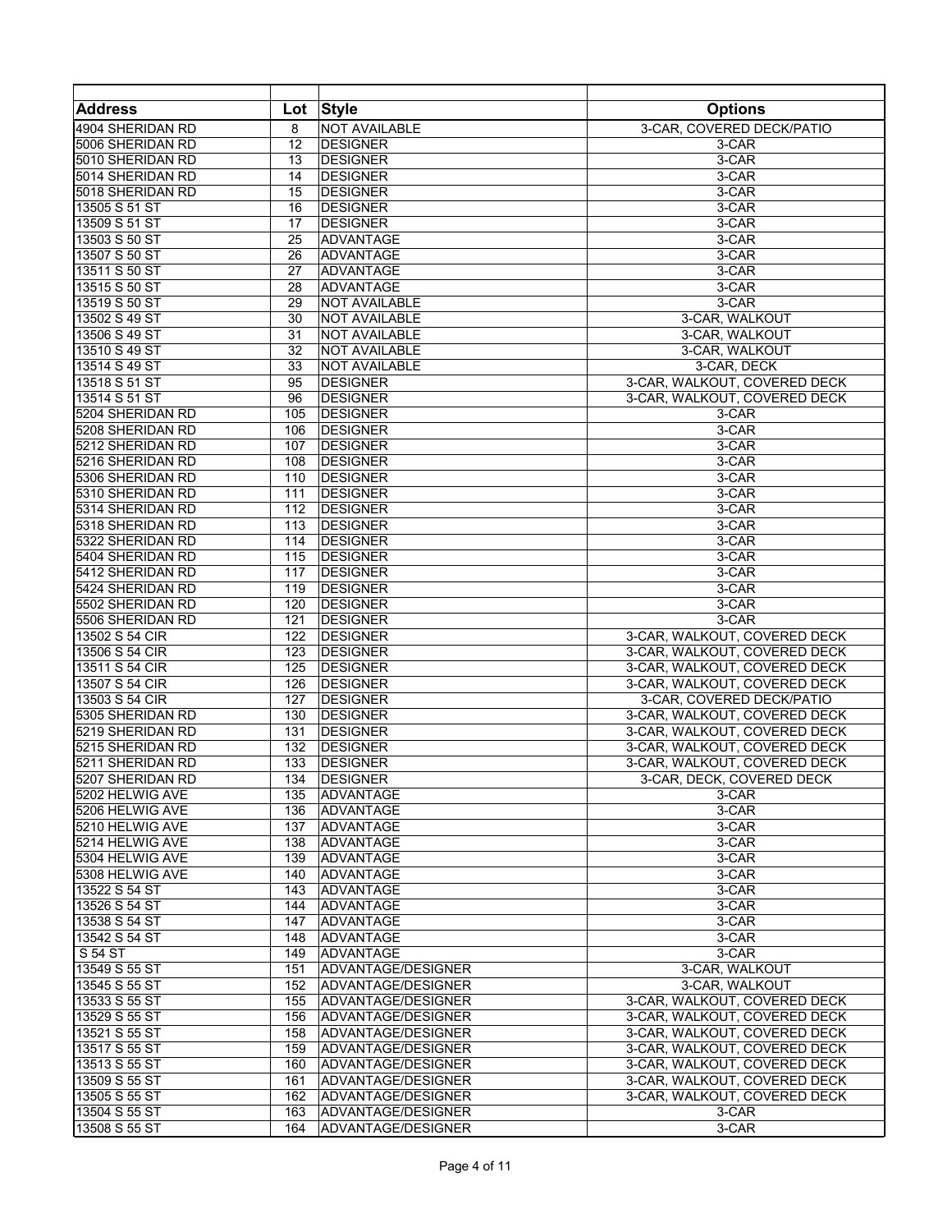| <b>Address</b>   | Lot        | <b>Style</b>         | <b>Options</b>               |
|------------------|------------|----------------------|------------------------------|
| 4904 SHERIDAN RD | 8          | <b>NOT AVAILABLE</b> | 3-CAR, COVERED DECK/PATIO    |
| 5006 SHERIDAN RD | 12         | <b>DESIGNER</b>      | 3-CAR                        |
| 5010 SHERIDAN RD | 13         | <b>DESIGNER</b>      | 3-CAR                        |
| 5014 SHERIDAN RD | 14         | <b>DESIGNER</b>      | 3-CAR                        |
| 5018 SHERIDAN RD | 15         | <b>DESIGNER</b>      | $3-CAR$                      |
| 13505 S 51 ST    | 16         | <b>DESIGNER</b>      | 3-CAR                        |
| 13509 S 51 ST    | 17         | <b>DESIGNER</b>      | 3-CAR                        |
| 13503 S 50 ST    | 25         | ADVANTAGE            | 3-CAR                        |
| 13507 S 50 ST    | 26         | ADVANTAGE            | 3-CAR                        |
| 13511 S 50 ST    | 27         | ADVANTAGE            | 3-CAR                        |
| 13515 S 50 ST    | 28         | <b>ADVANTAGE</b>     | 3-CAR                        |
| 13519 S 50 ST    | 29         | <b>NOT AVAILABLE</b> | 3-CAR                        |
| 13502 S 49 ST    | 30         | <b>NOT AVAILABLE</b> | 3-CAR, WALKOUT               |
| 13506 S 49 ST    | 31         | NOT AVAILABLE        | 3-CAR, WALKOUT               |
| 13510 S 49 ST    | 32         | NOT AVAILABLE        | 3-CAR, WALKOUT               |
| 13514 S 49 ST    | 33         | <b>NOT AVAILABLE</b> | 3-CAR, DECK                  |
| 13518 S 51 ST    | 95         | <b>DESIGNER</b>      | 3-CAR, WALKOUT, COVERED DECK |
|                  |            |                      | 3-CAR, WALKOUT, COVERED DECK |
| 13514 S 51 ST    | 96         | <b>DESIGNER</b>      |                              |
| 5204 SHERIDAN RD | 105<br>106 | <b>DESIGNER</b>      | 3-CAR                        |
| 5208 SHERIDAN RD |            | <b>DESIGNER</b>      | 3-CAR                        |
| 5212 SHERIDAN RD | 107        | <b>DESIGNER</b>      | 3-CAR                        |
| 5216 SHERIDAN RD | 108        | <b>DESIGNER</b>      | 3-CAR                        |
| 5306 SHERIDAN RD | 110        | <b>DESIGNER</b>      | 3-CAR                        |
| 5310 SHERIDAN RD | 111        | <b>DESIGNER</b>      | 3-CAR                        |
| 5314 SHERIDAN RD | 112        | <b>DESIGNER</b>      | 3-CAR                        |
| 5318 SHERIDAN RD | 113        | <b>DESIGNER</b>      | 3-CAR                        |
| 5322 SHERIDAN RD | 114        | <b>DESIGNER</b>      | 3-CAR                        |
| 5404 SHERIDAN RD | 115        | <b>DESIGNER</b>      | 3-CAR                        |
| 5412 SHERIDAN RD | 117        | <b>DESIGNER</b>      | 3-CAR                        |
| 5424 SHERIDAN RD | 119        | <b>DESIGNER</b>      | 3-CAR                        |
| 5502 SHERIDAN RD | 120        | <b>DESIGNER</b>      | 3-CAR                        |
| 5506 SHERIDAN RD | 121        | <b>DESIGNER</b>      | 3-CAR                        |
| 13502 S 54 CIR   | 122        | <b>DESIGNER</b>      | 3-CAR, WALKOUT, COVERED DECK |
| 13506 S 54 CIR   | 123        | <b>DESIGNER</b>      | 3-CAR, WALKOUT, COVERED DECK |
| 13511 S 54 CIR   | 125        | <b>DESIGNER</b>      | 3-CAR, WALKOUT, COVERED DECK |
| 13507 S 54 CIR   | 126        | <b>DESIGNER</b>      | 3-CAR, WALKOUT, COVERED DECK |
| 13503 S 54 CIR   | 127        | <b>DESIGNER</b>      | 3-CAR, COVERED DECK/PATIO    |
| 5305 SHERIDAN RD | 130        | <b>DESIGNER</b>      | 3-CAR, WALKOUT, COVERED DECK |
| 5219 SHERIDAN RD | 131        | <b>DESIGNER</b>      | 3-CAR, WALKOUT, COVERED DECK |
| 5215 SHERIDAN RD | 132        | <b>DESIGNER</b>      | 3-CAR, WALKOUT, COVERED DECK |
| 5211 SHERIDAN RD | 133        | <b>DESIGNER</b>      | 3-CAR, WALKOUT, COVERED DECK |
| 5207 SHERIDAN RD | 134        | <b>DESIGNER</b>      | 3-CAR, DECK, COVERED DECK    |
| 5202 HELWIG AVE  | 135        | ADVANTAGE            | 3-CAR                        |
| 5206 HELWIG AVE  | 136        | <b>ADVANTAGE</b>     | 3-CAR                        |
| 5210 HELWIG AVE  | 137        | <b>ADVANTAGE</b>     | 3-CAR                        |
| 5214 HELWIG AVE  | 138        | ADVANTAGE            | 3-CAR                        |
| 5304 HELWIG AVE  | 139        | <b>ADVANTAGE</b>     | 3-CAR                        |
| 5308 HELWIG AVE  | 140        | <b>ADVANTAGE</b>     | 3-CAR                        |
| 13522 S 54 ST    | 143        | <b>ADVANTAGE</b>     | 3-CAR                        |
| 13526 S 54 ST    | 144        | <b>ADVANTAGE</b>     | 3-CAR                        |
| 13538 S 54 ST    | 147        | <b>ADVANTAGE</b>     | 3-CAR                        |
| 13542 S 54 ST    | 148        | ADVANTAGE            | 3-CAR                        |
| S 54 ST          | 149        | <b>ADVANTAGE</b>     | 3-CAR                        |
| 13549 S 55 ST    | 151        | ADVANTAGE/DESIGNER   | 3-CAR. WALKOUT               |
| 13545 S 55 ST    | 152        | ADVANTAGE/DESIGNER   | 3-CAR, WALKOUT               |
| 13533 S 55 ST    | 155        | ADVANTAGE/DESIGNER   | 3-CAR, WALKOUT, COVERED DECK |
| 13529 S 55 ST    | 156        | ADVANTAGE/DESIGNER   | 3-CAR, WALKOUT, COVERED DECK |
| 13521 S 55 ST    | 158        | ADVANTAGE/DESIGNER   | 3-CAR, WALKOUT, COVERED DECK |
| 13517 S 55 ST    | 159        | ADVANTAGE/DESIGNER   | 3-CAR, WALKOUT, COVERED DECK |
| 13513 S 55 ST    | 160        | ADVANTAGE/DESIGNER   | 3-CAR, WALKOUT, COVERED DECK |
| 13509 S 55 ST    | 161        | ADVANTAGE/DESIGNER   | 3-CAR, WALKOUT, COVERED DECK |
|                  | 162        |                      |                              |
| 13505 S 55 ST    |            | ADVANTAGE/DESIGNER   | 3-CAR, WALKOUT, COVERED DECK |
| 13504 S 55 ST    | 163        | ADVANTAGE/DESIGNER   | 3-CAR                        |
| 13508 S 55 ST    | 164        | ADVANTAGE/DESIGNER   | 3-CAR                        |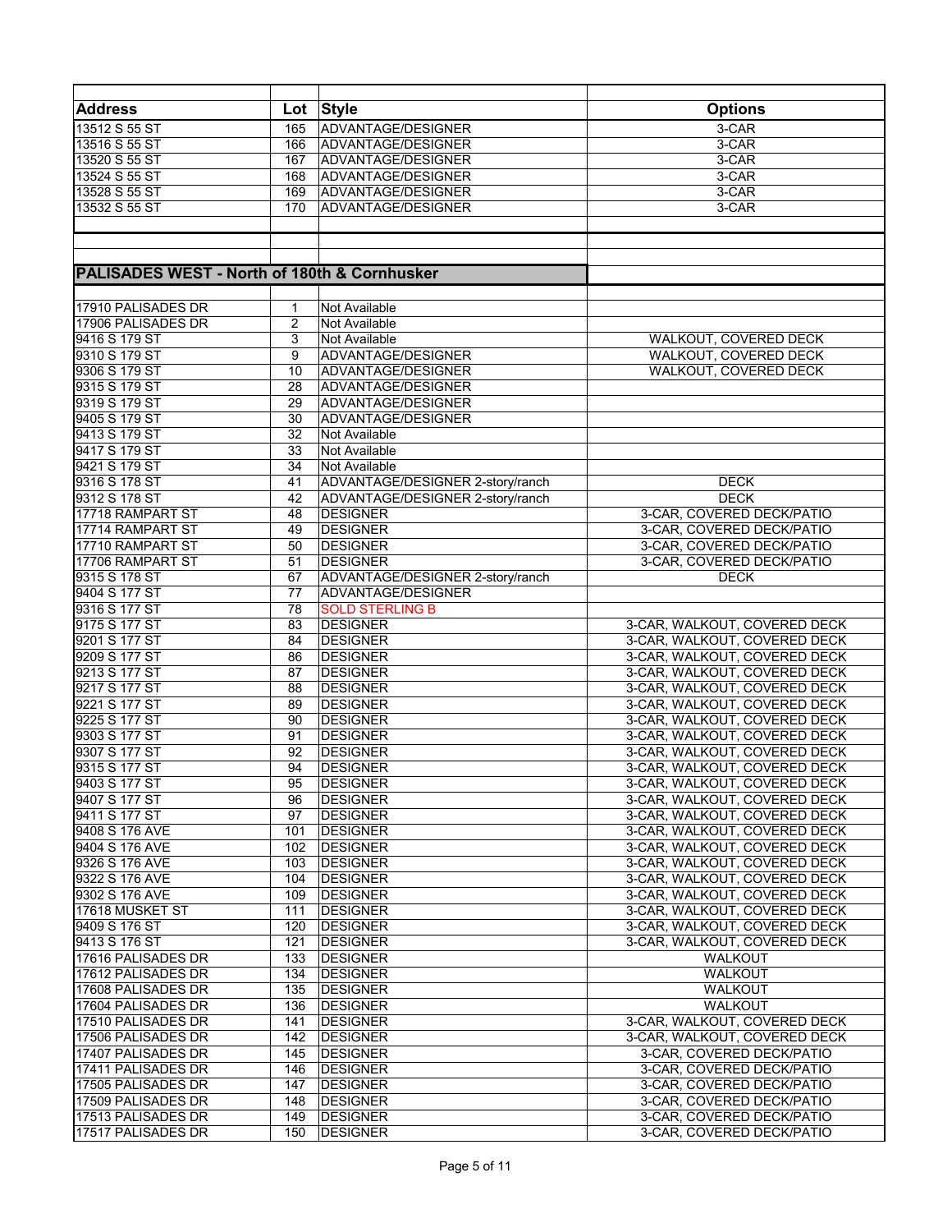| <b>Address</b>                                          | Lot            | <b>Style</b>                     | <b>Options</b>               |
|---------------------------------------------------------|----------------|----------------------------------|------------------------------|
|                                                         | 165            | ADVANTAGE/DESIGNER               | 3-CAR                        |
| 13512 S 55 ST                                           |                |                                  |                              |
| 13516 S 55 ST                                           | 166            | ADVANTAGE/DESIGNER               | $3-CAR$                      |
| 13520 S 55 ST                                           | 167            | ADVANTAGE/DESIGNER               | 3-CAR                        |
| 13524 S 55 ST                                           | 168            | ADVANTAGE/DESIGNER               | 3-CAR                        |
| 13528 S 55 ST                                           | 169            | ADVANTAGE/DESIGNER               | 3-CAR                        |
| 13532 S 55 ST                                           | 170            | ADVANTAGE/DESIGNER               | 3-CAR                        |
|                                                         |                |                                  |                              |
|                                                         |                |                                  |                              |
|                                                         |                |                                  |                              |
| <b>PALISADES WEST - North of 180th &amp; Cornhusker</b> |                |                                  |                              |
|                                                         |                |                                  |                              |
| 17910 PALISADES DR                                      | 1              | Not Available                    |                              |
| 17906 PALISADES DR                                      | $\overline{2}$ | Not Available                    |                              |
| 9416 S 179 ST                                           | 3              | Not Available                    | WALKOUT, COVERED DECK        |
| 9310 S 179 ST                                           | 9              | ADVANTAGE/DESIGNER               | WALKOUT, COVERED DECK        |
| 9306 S 179 ST                                           | 10             | ADVANTAGE/DESIGNER               | <b>WALKOUT, COVERED DECK</b> |
| 9315 S 179 ST                                           | 28             | ADVANTAGE/DESIGNER               |                              |
| 9319 S 179 ST                                           | 29             | ADVANTAGE/DESIGNER               |                              |
| 9405 S 179 ST                                           | 30             | ADVANTAGE/DESIGNER               |                              |
| 9413 S 179 ST                                           | 32             | Not Available                    |                              |
| 9417 S 179 ST                                           | 33             | Not Available                    |                              |
| 9421 S 179 ST                                           | 34             | Not Available                    |                              |
| 9316 S 178 ST                                           | 41             | ADVANTAGE/DESIGNER 2-story/ranch | <b>DECK</b>                  |
| 9312 S 178 ST                                           | 42             | ADVANTAGE/DESIGNER 2-story/ranch | <b>DECK</b>                  |
|                                                         |                | <b>DESIGNER</b>                  |                              |
| 17718 RAMPART ST                                        | 48             |                                  | 3-CAR, COVERED DECK/PATIO    |
| 17714 RAMPART ST                                        | 49             | <b>DESIGNER</b>                  | 3-CAR, COVERED DECK/PATIO    |
| 17710 RAMPART ST                                        | 50             | <b>DESIGNER</b>                  | 3-CAR, COVERED DECK/PATIO    |
| 17706 RAMPART ST                                        | 51             | <b>DESIGNER</b>                  | 3-CAR, COVERED DECK/PATIO    |
| 9315 S 178 ST                                           | 67             | ADVANTAGE/DESIGNER 2-story/ranch | <b>DECK</b>                  |
| 9404 S 177 ST                                           | 77             | ADVANTAGE/DESIGNER               |                              |
| 9316 S 177 ST                                           | 78             | <b>SOLD STERLING B</b>           |                              |
| 9175 S 177 ST                                           | 83             | <b>DESIGNER</b>                  | 3-CAR, WALKOUT, COVERED DECK |
| 9201 S 177 ST                                           | 84             | <b>DESIGNER</b>                  | 3-CAR, WALKOUT, COVERED DECK |
| 9209 S 177 ST                                           | 86             | <b>DESIGNER</b>                  | 3-CAR, WALKOUT, COVERED DECK |
| 9213 S 177 ST                                           | 87             | <b>DESIGNER</b>                  | 3-CAR, WALKOUT, COVERED DECK |
| 9217 S 177 ST                                           | 88             | <b>DESIGNER</b>                  | 3-CAR, WALKOUT, COVERED DECK |
| 9221 S 177 ST                                           | 89             | <b>DESIGNER</b>                  | 3-CAR, WALKOUT, COVERED DECK |
| 9225 S 177 ST                                           | 90             | <b>DESIGNER</b>                  | 3-CAR, WALKOUT, COVERED DECK |
| 9303 S 177 ST                                           | 91             | <b>DESIGNER</b>                  | 3-CAR, WALKOUT, COVERED DECK |
| 9307 S 177 ST                                           | 92             | <b>DESIGNER</b>                  | 3-CAR, WALKOUT, COVERED DECK |
| 9315 S 177 ST                                           | 94             | <b>DESIGNER</b>                  | 3-CAR, WALKOUT, COVERED DECK |
| 9403 S 177 ST                                           | 95             | <b>DESIGNER</b>                  | 3-CAR, WALKOUT, COVERED DECK |
| 9407 S 177 ST                                           | 96             | <b>DESIGNER</b>                  | 3-CAR, WALKOUT, COVERED DECK |
| 9411 S 177 ST                                           | 97             | <b>DESIGNER</b>                  | 3-CAR, WALKOUT, COVERED DECK |
| 9408 S 176 AVE                                          | 101            | <b>DESIGNER</b>                  | 3-CAR, WALKOUT, COVERED DECK |
| 9404 S 176 AVE                                          | 102            | <b>DESIGNER</b>                  | 3-CAR, WALKOUT, COVERED DECK |
| 9326 S 176 AVE                                          | 103            | <b>DESIGNER</b>                  | 3-CAR, WALKOUT, COVERED DECK |
| 9322 S 176 AVE                                          | 104            | <b>DESIGNER</b>                  | 3-CAR, WALKOUT, COVERED DECK |
| 9302 S 176 AVE                                          | 109            | <b>DESIGNER</b>                  | 3-CAR, WALKOUT, COVERED DECK |
| 17618 MUSKET ST                                         | 111            | <b>DESIGNER</b>                  | 3-CAR, WALKOUT, COVERED DECK |
| 9409 S 176 ST                                           | 120            | <b>DESIGNER</b>                  | 3-CAR, WALKOUT, COVERED DECK |
| 9413 S 176 ST                                           | 121            | <b>DESIGNER</b>                  | 3-CAR, WALKOUT, COVERED DECK |
| 17616 PALISADES DR                                      | 133            | <b>DESIGNER</b>                  | <b>WALKOUT</b>               |
| 17612 PALISADES DR                                      | 134            | <b>DESIGNER</b>                  | <b>WALKOUT</b>               |
| 17608 PALISADES DR                                      | 135            | <b>DESIGNER</b>                  | WALKOUT                      |
| 17604 PALISADES DR                                      | 136            | <b>DESIGNER</b>                  | <b>WALKOUT</b>               |
| 17510 PALISADES DR                                      | 141            | <b>DESIGNER</b>                  | 3-CAR, WALKOUT, COVERED DECK |
| 17506 PALISADES DR                                      | 142            | <b>DESIGNER</b>                  | 3-CAR, WALKOUT, COVERED DECK |
| 17407 PALISADES DR                                      | 145            | <b>DESIGNER</b>                  | 3-CAR, COVERED DECK/PATIO    |
|                                                         |                |                                  |                              |
| 17411 PALISADES DR                                      | 146            | <b>DESIGNER</b>                  | 3-CAR, COVERED DECK/PATIO    |
| 17505 PALISADES DR                                      | 147            | <b>DESIGNER</b>                  | 3-CAR, COVERED DECK/PATIO    |
| 17509 PALISADES DR                                      | 148            | <b>DESIGNER</b>                  | 3-CAR, COVERED DECK/PATIO    |
| 17513 PALISADES DR                                      | 149            | <b>DESIGNER</b>                  | 3-CAR, COVERED DECK/PATIO    |
| 17517 PALISADES DR                                      | 150            | <b>DESIGNER</b>                  | 3-CAR, COVERED DECK/PATIO    |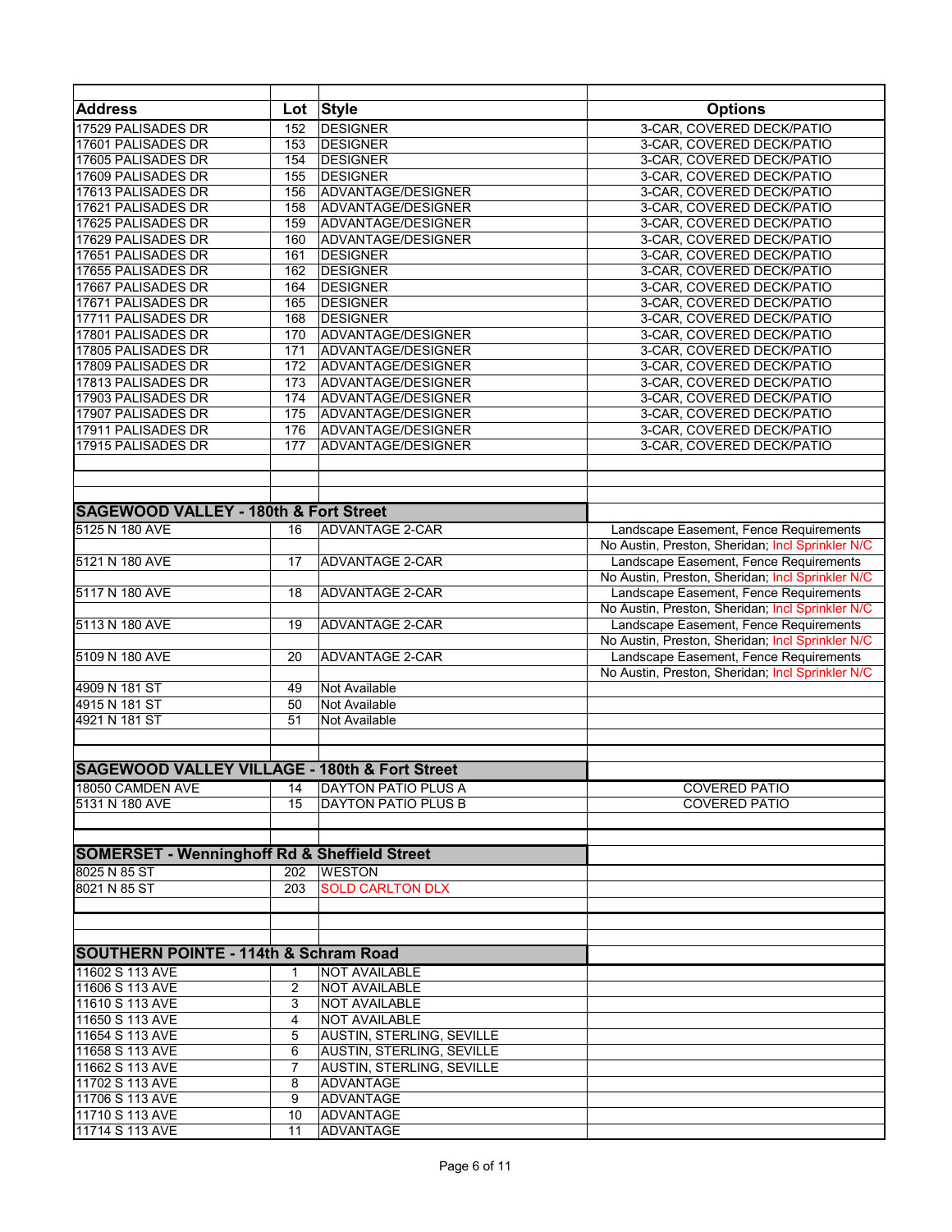| <b>Address</b>                                           | Lot          | <b>Style</b>                                  | <b>Options</b>                                                                             |
|----------------------------------------------------------|--------------|-----------------------------------------------|--------------------------------------------------------------------------------------------|
| 17529 PALISADES DR                                       | 152          | <b>DESIGNER</b>                               | 3-CAR, COVERED DECK/PATIO                                                                  |
| 17601 PALISADES DR                                       | 153          | <b>DESIGNER</b>                               | 3-CAR, COVERED DECK/PATIO                                                                  |
| 17605 PALISADES DR                                       | 154          | <b>DESIGNER</b>                               | 3-CAR, COVERED DECK/PATIO                                                                  |
| 17609 PALISADES DR                                       | 155          | <b>DESIGNER</b>                               | 3-CAR, COVERED DECK/PATIO                                                                  |
| 17613 PALISADES DR                                       | 156          | ADVANTAGE/DESIGNER                            | 3-CAR, COVERED DECK/PATIO                                                                  |
| 17621 PALISADES DR<br>17625 PALISADES DR                 | 158<br>159   | ADVANTAGE/DESIGNER<br>ADVANTAGE/DESIGNER      | 3-CAR, COVERED DECK/PATIO<br>3-CAR, COVERED DECK/PATIO                                     |
| 17629 PALISADES DR                                       | 160          | ADVANTAGE/DESIGNER                            | 3-CAR, COVERED DECK/PATIO                                                                  |
| 17651 PALISADES DR                                       | 161          | <b>DESIGNER</b>                               | 3-CAR, COVERED DECK/PATIO                                                                  |
| 17655 PALISADES DR                                       | 162          | <b>DESIGNER</b>                               | 3-CAR, COVERED DECK/PATIO                                                                  |
| 17667 PALISADES DR                                       | 164          | <b>DESIGNER</b>                               | 3-CAR, COVERED DECK/PATIO                                                                  |
| 17671 PALISADES DR                                       | 165          | <b>DESIGNER</b>                               | 3-CAR, COVERED DECK/PATIO                                                                  |
| 17711 PALISADES DR                                       | 168          | <b>DESIGNER</b>                               | 3-CAR, COVERED DECK/PATIO                                                                  |
| 17801 PALISADES DR                                       | 170          | ADVANTAGE/DESIGNER                            | 3-CAR, COVERED DECK/PATIO                                                                  |
| 17805 PALISADES DR                                       | 171          | ADVANTAGE/DESIGNER                            | 3-CAR, COVERED DECK/PATIO                                                                  |
| 17809 PALISADES DR                                       | 172          | ADVANTAGE/DESIGNER                            | 3-CAR, COVERED DECK/PATIO                                                                  |
| 17813 PALISADES DR                                       | 173          | ADVANTAGE/DESIGNER                            | 3-CAR, COVERED DECK/PATIO                                                                  |
| 17903 PALISADES DR                                       | 174          | ADVANTAGE/DESIGNER                            | 3-CAR. COVERED DECK/PATIO                                                                  |
| 17907 PALISADES DR                                       | 175          | ADVANTAGE/DESIGNER                            | 3-CAR, COVERED DECK/PATIO                                                                  |
| 17911 PALISADES DR                                       | 176          | ADVANTAGE/DESIGNER                            | 3-CAR, COVERED DECK/PATIO                                                                  |
| 17915 PALISADES DR                                       | 177          | ADVANTAGE/DESIGNER                            | 3-CAR, COVERED DECK/PATIO                                                                  |
|                                                          |              |                                               |                                                                                            |
|                                                          |              |                                               |                                                                                            |
|                                                          |              |                                               |                                                                                            |
| <b>SAGEWOOD VALLEY - 180th &amp; Fort Street</b>         |              |                                               |                                                                                            |
| 5125 N 180 AVE                                           | 16           | <b>ADVANTAGE 2-CAR</b>                        | Landscape Easement, Fence Requirements                                                     |
|                                                          |              |                                               | No Austin, Preston, Sheridan; Incl Sprinkler N/C                                           |
| 5121 N 180 AVE                                           | 17           | <b>ADVANTAGE 2-CAR</b>                        | Landscape Easement, Fence Requirements                                                     |
|                                                          |              |                                               | No Austin, Preston, Sheridan; Incl Sprinkler N/C                                           |
| 5117 N 180 AVE                                           | 18           | <b>ADVANTAGE 2-CAR</b>                        | Landscape Easement, Fence Requirements                                                     |
|                                                          |              |                                               | No Austin, Preston, Sheridan; Incl Sprinkler N/C                                           |
| 5113 N 180 AVE                                           | 19           | ADVANTAGE 2-CAR                               | Landscape Easement, Fence Requirements<br>No Austin, Preston, Sheridan; Incl Sprinkler N/C |
| 5109 N 180 AVE                                           | 20           | ADVANTAGE 2-CAR                               | Landscape Easement, Fence Requirements                                                     |
|                                                          |              |                                               | No Austin, Preston, Sheridan; Incl Sprinkler N/C                                           |
| 4909 N 181 ST                                            | 49           | Not Available                                 |                                                                                            |
| 4915 N 181 ST                                            | 50           | Not Available                                 |                                                                                            |
| 4921 N 181 ST                                            | 51           | Not Available                                 |                                                                                            |
|                                                          |              |                                               |                                                                                            |
|                                                          |              |                                               |                                                                                            |
| <b>SAGEWOOD VALLEY VILLAGE - 180th &amp; Fort Street</b> |              |                                               |                                                                                            |
| 18050 CAMDEN AVE                                         | 14           | <b>DAYTON PATIO PLUS A</b>                    | <b>COVERED PATIO</b>                                                                       |
| 5131 N 180 AVE                                           | 15           | DAYTON PATIO PLUS B                           | <b>COVERED PATIO</b>                                                                       |
|                                                          |              |                                               |                                                                                            |
|                                                          |              |                                               |                                                                                            |
| <b>SOMERSET - Wenninghoff Rd &amp; Sheffield Street</b>  |              |                                               |                                                                                            |
| 8025 N 85 ST                                             | 202          | <b>WESTON</b>                                 |                                                                                            |
| 8021 N 85 ST                                             | 203          | <b>SOLD CARLTON DLX</b>                       |                                                                                            |
|                                                          |              |                                               |                                                                                            |
|                                                          |              |                                               |                                                                                            |
|                                                          |              |                                               |                                                                                            |
| <b>SOUTHERN POINTE - 114th &amp; Schram Road</b>         |              |                                               |                                                                                            |
| 11602 S 113 AVE                                          | $\mathbf{1}$ | <b>NOT AVAILABLE</b>                          |                                                                                            |
| 11606 S 113 AVE                                          | 2            | <b>NOT AVAILABLE</b>                          |                                                                                            |
| 11610 S 113 AVE                                          | 3            | <b>NOT AVAILABLE</b>                          |                                                                                            |
| 11650 S 113 AVE                                          | 4            | NOT AVAILABLE                                 |                                                                                            |
| 11654 S 113 AVE                                          | 5            | AUSTIN, STERLING, SEVILLE                     |                                                                                            |
| 11658 S 113 AVE                                          | 6            | AUSTIN, STERLING, SEVILLE                     |                                                                                            |
| 11662 S 113 AVE<br>11702 S 113 AVE                       | 7            | AUSTIN, STERLING, SEVILLE<br><b>ADVANTAGE</b> |                                                                                            |
| 11706 S 113 AVE                                          | 8<br>9       | <b>ADVANTAGE</b>                              |                                                                                            |
| 11710 S 113 AVE                                          | 10           | ADVANTAGE                                     |                                                                                            |
| 11714 S 113 AVE                                          | 11           | ADVANTAGE                                     |                                                                                            |
|                                                          |              |                                               |                                                                                            |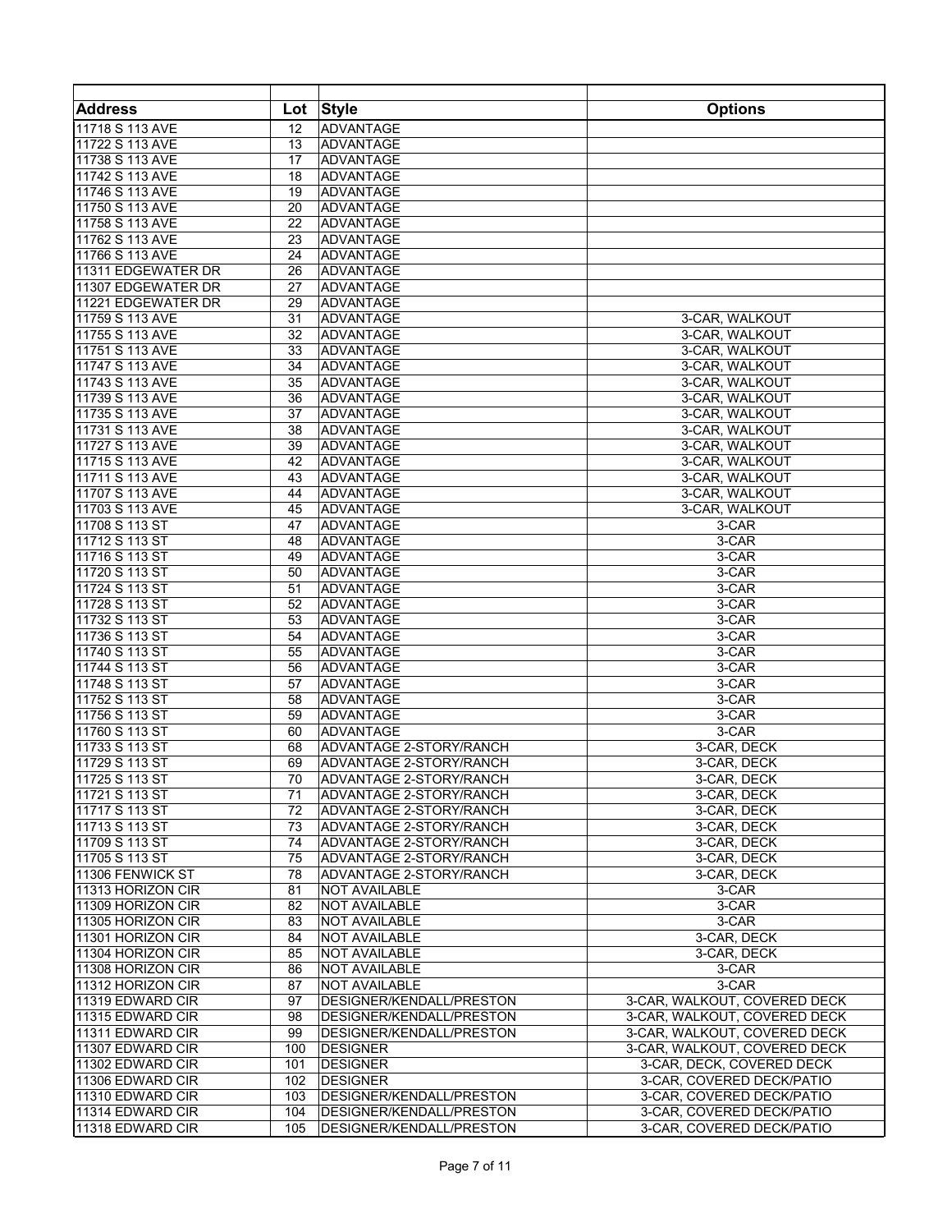| <b>Address</b>                         |                 | Lot Style                                    | <b>Options</b>                   |
|----------------------------------------|-----------------|----------------------------------------------|----------------------------------|
| 11718 S 113 AVE                        | 12              | ADVANTAGE                                    |                                  |
| 11722 S 113 AVE                        | 13              | ADVANTAGE                                    |                                  |
| 11738 S 113 AVE                        | 17              | ADVANTAGE                                    |                                  |
| 11742 S 113 AVE                        | 18              | ADVANTAGE                                    |                                  |
| 11746 S 113 AVE                        | 19              | ADVANTAGE                                    |                                  |
| 11750 S 113 AVE                        | 20              | ADVANTAGE                                    |                                  |
| 11758 S 113 AVE                        | 22              | <b>ADVANTAGE</b>                             |                                  |
| 11762 S 113 AVE                        | 23              | ADVANTAGE                                    |                                  |
| 11766 S 113 AVE                        | 24              | ADVANTAGE                                    |                                  |
| 11311 EDGEWATER DR                     | 26              | ADVANTAGE                                    |                                  |
| 11307 EDGEWATER DR                     | 27              | ADVANTAGE                                    |                                  |
| 11221 EDGEWATER DR                     | 29              | ADVANTAGE                                    |                                  |
| 11759 S 113 AVE                        | 31              | <b>ADVANTAGE</b>                             | 3-CAR, WALKOUT                   |
| 11755 S 113 AVE                        | 32              | <b>ADVANTAGE</b>                             | 3-CAR, WALKOUT                   |
| 11751 S 113 AVE                        | 33              | ADVANTAGE                                    | 3-CAR, WALKOUT                   |
| 11747 S 113 AVE                        | 34              | ADVANTAGE                                    | 3-CAR, WALKOUT                   |
| 11743 S 113 AVE                        | 35              | ADVANTAGE                                    | 3-CAR, WALKOUT                   |
| 11739 S 113 AVE                        | 36              | ADVANTAGE                                    | 3-CAR. WALKOUT                   |
| 11735 S 113 AVE                        | 37              | ADVANTAGE                                    | 3-CAR, WALKOUT                   |
| 11731 S 113 AVE                        | 38              | ADVANTAGE                                    | 3-CAR, WALKOUT                   |
| 11727 S 113 AVE                        | 39              | ADVANTAGE<br>ADVANTAGE                       | 3-CAR, WALKOUT                   |
| 11715 S 113 AVE                        | 42              |                                              | 3-CAR, WALKOUT                   |
| 11711 S 113 AVE<br>11707 S 113 AVE     | 43<br>44        | <b>ADVANTAGE</b><br><b>ADVANTAGE</b>         | 3-CAR, WALKOUT                   |
| 11703 S 113 AVE                        | 45              | ADVANTAGE                                    | 3-CAR, WALKOUT<br>3-CAR, WALKOUT |
| 11708 S 113 ST                         | 47              | ADVANTAGE                                    | 3-CAR                            |
| 11712 S 113 ST                         | 48              | ADVANTAGE                                    | 3-CAR                            |
| 11716 S 113 ST                         | 49              | ADVANTAGE                                    | 3-CAR                            |
| 11720 S 113 ST                         | 50              | ADVANTAGE                                    | 3-CAR                            |
| 11724 S 113 ST                         | 51              | ADVANTAGE                                    | 3-CAR                            |
| 11728 S 113 ST                         | 52              | ADVANTAGE                                    | 3-CAR                            |
| 11732 S 113 ST                         | 53              | ADVANTAGE                                    | 3-CAR                            |
| 11736 S 113 ST                         | 54              | ADVANTAGE                                    | 3-CAR                            |
| 11740 S 113 ST                         | 55              | ADVANTAGE                                    | 3-CAR                            |
| 11744 S 113 ST                         | 56              | ADVANTAGE                                    | 3-CAR                            |
| 11748 S 113 ST                         | 57              | <b>ADVANTAGE</b>                             | 3-CAR                            |
| 11752 S 113 ST                         | 58              | ADVANTAGE                                    | 3-CAR                            |
| 11756 S 113 ST                         | 59              | ADVANTAGE                                    | 3-CAR                            |
| 11760 S 113 ST                         | 60              | ADVANTAGE                                    | 3-CAR                            |
| 11733 S 113 ST                         | 68              | ADVANTAGE 2-STORY/RANCH                      | 3-CAR, DECK                      |
| 11729 S 113 ST                         | 69              | <b>ADVANTAGE 2-STORY/RANCH</b>               | 3-CAR, DECK                      |
| 11725 S 113 ST                         | $\overline{70}$ | ADVANTAGE 2-STORY/RANCH                      | 3-CAR, DECK                      |
| 11721 S 113 ST                         | 71              | <b>ADVANTAGE 2-STORY/RANCH</b>               | 3-CAR, DECK                      |
| 11717 S 113 ST                         | 72              | ADVANTAGE 2-STORY/RANCH                      | 3-CAR, DECK                      |
| 11713 S 113 ST                         | 73              | ADVANTAGE 2-STORY/RANCH                      | 3-CAR, DECK                      |
| 11709 S 113 ST                         | 74              | ADVANTAGE 2-STORY/RANCH                      | 3-CAR, DECK                      |
| 11705 S 113 ST                         | 75              | ADVANTAGE 2-STORY/RANCH                      | 3-CAR, DECK                      |
| 11306 FENWICK ST                       | 78              | ADVANTAGE 2-STORY/RANCH                      | 3-CAR, DECK                      |
| 11313 HORIZON CIR                      | 81              | <b>NOT AVAILABLE</b>                         | 3-CAR                            |
| 11309 HORIZON CIR                      | 82<br>83        | <b>NOT AVAILABLE</b>                         | 3-CAR<br>3-CAR                   |
| 11305 HORIZON CIR<br>11301 HORIZON CIR | 84              | <b>NOT AVAILABLE</b><br><b>NOT AVAILABLE</b> | 3-CAR, DECK                      |
| 11304 HORIZON CIR                      | 85              | <b>NOT AVAILABLE</b>                         | 3-CAR, DECK                      |
| 11308 HORIZON CIR                      | 86              | <b>NOT AVAILABLE</b>                         | 3-CAR                            |
| 11312 HORIZON CIR                      | 87              | <b>NOT AVAILABLE</b>                         | 3-CAR                            |
| 11319 EDWARD CIR                       | 97              | DESIGNER/KENDALL/PRESTON                     | 3-CAR, WALKOUT, COVERED DECK     |
| 11315 EDWARD CIR                       | 98              | DESIGNER/KENDALL/PRESTON                     | 3-CAR, WALKOUT, COVERED DECK     |
| 11311 EDWARD CIR                       | 99              | DESIGNER/KENDALL/PRESTON                     | 3-CAR, WALKOUT, COVERED DECK     |
| 11307 EDWARD CIR                       | 100             | <b>DESIGNER</b>                              | 3-CAR, WALKOUT, COVERED DECK     |
| 11302 EDWARD CIR                       | 101             | <b>DESIGNER</b>                              | 3-CAR, DECK, COVERED DECK        |
| 11306 EDWARD CIR                       | 102             | <b>DESIGNER</b>                              | 3-CAR, COVERED DECK/PATIO        |
| 11310 EDWARD CIR                       | 103             | DESIGNER/KENDALL/PRESTON                     | 3-CAR, COVERED DECK/PATIO        |
| 11314 EDWARD CIR                       | 104             | DESIGNER/KENDALL/PRESTON                     | 3-CAR, COVERED DECK/PATIO        |
| 11318 EDWARD CIR                       | 105             | DESIGNER/KENDALL/PRESTON                     | 3-CAR, COVERED DECK/PATIO        |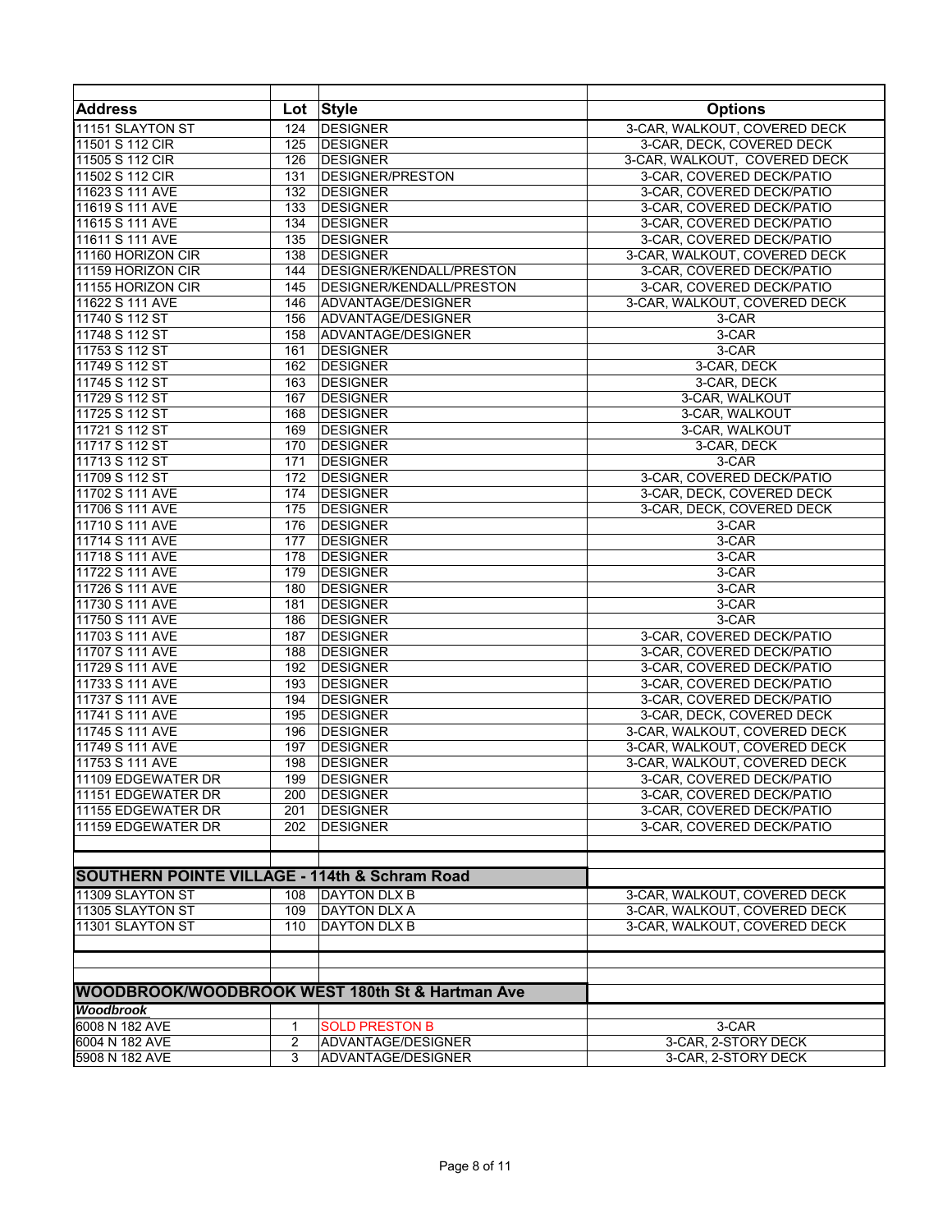| <b>Address</b>                                           | Lot | <b>Style</b>                                               | <b>Options</b>               |
|----------------------------------------------------------|-----|------------------------------------------------------------|------------------------------|
| 11151 SLAYTON ST                                         | 124 | <b>DESIGNER</b>                                            | 3-CAR, WALKOUT, COVERED DECK |
| 11501 S 112 CIR                                          | 125 | <b>DESIGNER</b>                                            | 3-CAR, DECK, COVERED DECK    |
| 11505 S 112 CIR                                          | 126 | <b>DESIGNER</b>                                            | 3-CAR, WALKOUT, COVERED DECK |
| 11502 S 112 CIR                                          | 131 | <b>DESIGNER/PRESTON</b>                                    | 3-CAR, COVERED DECK/PATIO    |
| 11623 S 111 AVE                                          | 132 | <b>DESIGNER</b>                                            | 3-CAR, COVERED DECK/PATIO    |
| 11619 S 111 AVE                                          | 133 | <b>DESIGNER</b>                                            | 3-CAR, COVERED DECK/PATIO    |
| 11615 S 111 AVE                                          | 134 | <b>DESIGNER</b>                                            | 3-CAR, COVERED DECK/PATIO    |
| 11611 S 111 AVE                                          | 135 | <b>DESIGNER</b>                                            | 3-CAR, COVERED DECK/PATIO    |
| 11160 HORIZON CIR                                        | 138 | <b>DESIGNER</b>                                            | 3-CAR, WALKOUT, COVERED DECK |
| 11159 HORIZON CIR                                        | 144 | DESIGNER/KENDALL/PRESTON                                   | 3-CAR, COVERED DECK/PATIO    |
| 11155 HORIZON CIR                                        | 145 | DESIGNER/KENDALL/PRESTON                                   | 3-CAR, COVERED DECK/PATIO    |
| 11622 S 111 AVE                                          | 146 | ADVANTAGE/DESIGNER                                         | 3-CAR, WALKOUT, COVERED DECK |
| 11740 S 112 ST                                           | 156 | ADVANTAGE/DESIGNER                                         | 3-CAR                        |
| 11748 S 112 ST                                           | 158 | ADVANTAGE/DESIGNER                                         | 3-CAR                        |
| 11753 S 112 ST                                           | 161 | <b>DESIGNER</b>                                            | 3-CAR                        |
| 11749 S 112 ST                                           | 162 | <b>DESIGNER</b>                                            | 3-CAR, DECK                  |
| 11745 S 112 ST                                           | 163 | <b>DESIGNER</b>                                            | 3-CAR, DECK                  |
| 11729 S 112 ST                                           | 167 | <b>DESIGNER</b>                                            | 3-CAR. WALKOUT               |
| 11725 S 112 ST                                           | 168 | <b>DESIGNER</b>                                            | 3-CAR, WALKOUT               |
|                                                          |     | <b>DESIGNER</b>                                            |                              |
| 11721 S 112 ST                                           | 169 |                                                            | 3-CAR, WALKOUT               |
| 11717 S 112 ST                                           | 170 | <b>DESIGNER</b>                                            | 3-CAR, DECK                  |
| 11713 S 112 ST                                           | 171 | <b>DESIGNER</b>                                            | 3-CAR                        |
| 11709 S 112 ST                                           | 172 | <b>DESIGNER</b>                                            | 3-CAR, COVERED DECK/PATIO    |
| 11702 S 111 AVE                                          | 174 | <b>DESIGNER</b>                                            | 3-CAR, DECK, COVERED DECK    |
| 11706 S 111 AVE                                          | 175 | <b>DESIGNER</b>                                            | 3-CAR, DECK, COVERED DECK    |
| 11710 S 111 AVE                                          | 176 | <b>DESIGNER</b>                                            | 3-CAR                        |
| 11714 S 111 AVE                                          | 177 | <b>DESIGNER</b>                                            | 3-CAR                        |
| 11718 S 111 AVE                                          | 178 | <b>DESIGNER</b>                                            | 3-CAR                        |
| 11722 S 111 AVE                                          | 179 | <b>DESIGNER</b>                                            | 3-CAR                        |
| 11726 S 111 AVE                                          | 180 | <b>DESIGNER</b>                                            | 3-CAR                        |
| 11730 S 111 AVE                                          | 181 | <b>DESIGNER</b>                                            | 3-CAR                        |
| 11750 S 111 AVE                                          | 186 | <b>DESIGNER</b>                                            | 3-CAR                        |
| 11703 S 111 AVE                                          | 187 | <b>DESIGNER</b>                                            | 3-CAR, COVERED DECK/PATIO    |
| 11707 S 111 AVE                                          | 188 | <b>DESIGNER</b>                                            | 3-CAR, COVERED DECK/PATIO    |
| 11729 S 111 AVE                                          | 192 | <b>DESIGNER</b>                                            | 3-CAR, COVERED DECK/PATIO    |
| 11733 S 111 AVE                                          | 193 | <b>DESIGNER</b>                                            | 3-CAR, COVERED DECK/PATIO    |
| 11737 S 111 AVE                                          | 194 | <b>DESIGNER</b>                                            | 3-CAR, COVERED DECK/PATIO    |
| 11741 S 111 AVE                                          | 195 | <b>DESIGNER</b>                                            | 3-CAR, DECK, COVERED DECK    |
| 11745 S 111 AVE                                          | 196 | <b>DESIGNER</b>                                            | 3-CAR, WALKOUT, COVERED DECK |
| 11749 S 111 AVE                                          | 197 | <b>DESIGNER</b>                                            | 3-CAR, WALKOUT, COVERED DECK |
| 11753 S 111 AVE                                          | 198 | <b>DESIGNER</b>                                            | 3-CAR, WALKOUT, COVERED DECK |
| 11109 EDGEWATER DR                                       | 199 | <b>DESIGNER</b>                                            | 3-CAR, COVERED DECK/PATIO    |
| 11151 EDGEWATER DR                                       | 200 | <b>DESIGNER</b>                                            | 3-CAR, COVERED DECK/PATIO    |
| 11155 EDGEWATER DR                                       | 201 | <b>DESIGNER</b>                                            | 3-CAR, COVERED DECK/PATIO    |
| 11159 EDGEWATER DR                                       | 202 | <b>DESIGNER</b>                                            | 3-CAR, COVERED DECK/PATIO    |
|                                                          |     |                                                            |                              |
| <b>SOUTHERN POINTE VILLAGE - 114th &amp; Schram Road</b> |     |                                                            |                              |
| 11309 SLAYTON ST                                         |     | <b>DAYTON DLX B</b>                                        | 3-CAR, WALKOUT, COVERED DECK |
|                                                          | 108 |                                                            |                              |
| 11305 SLAYTON ST                                         | 109 | <b>DAYTON DLX A</b>                                        | 3-CAR, WALKOUT, COVERED DECK |
| 11301 SLAYTON ST                                         | 110 | <b>DAYTON DLX B</b>                                        | 3-CAR, WALKOUT, COVERED DECK |
|                                                          |     |                                                            |                              |
|                                                          |     | <b>WOODBROOK/WOODBROOK WEST 180th St &amp; Hartman Ave</b> |                              |
| Woodbrook                                                |     |                                                            |                              |
| 6008 N 182 AVE                                           | 1   | <b>SOLD PRESTON B</b>                                      | 3-CAR                        |
| 6004 N 182 AVE                                           | 2   | ADVANTAGE/DESIGNER                                         | 3-CAR, 2-STORY DECK          |
| 5908 N 182 AVE                                           | 3   | ADVANTAGE/DESIGNER                                         | 3-CAR, 2-STORY DECK          |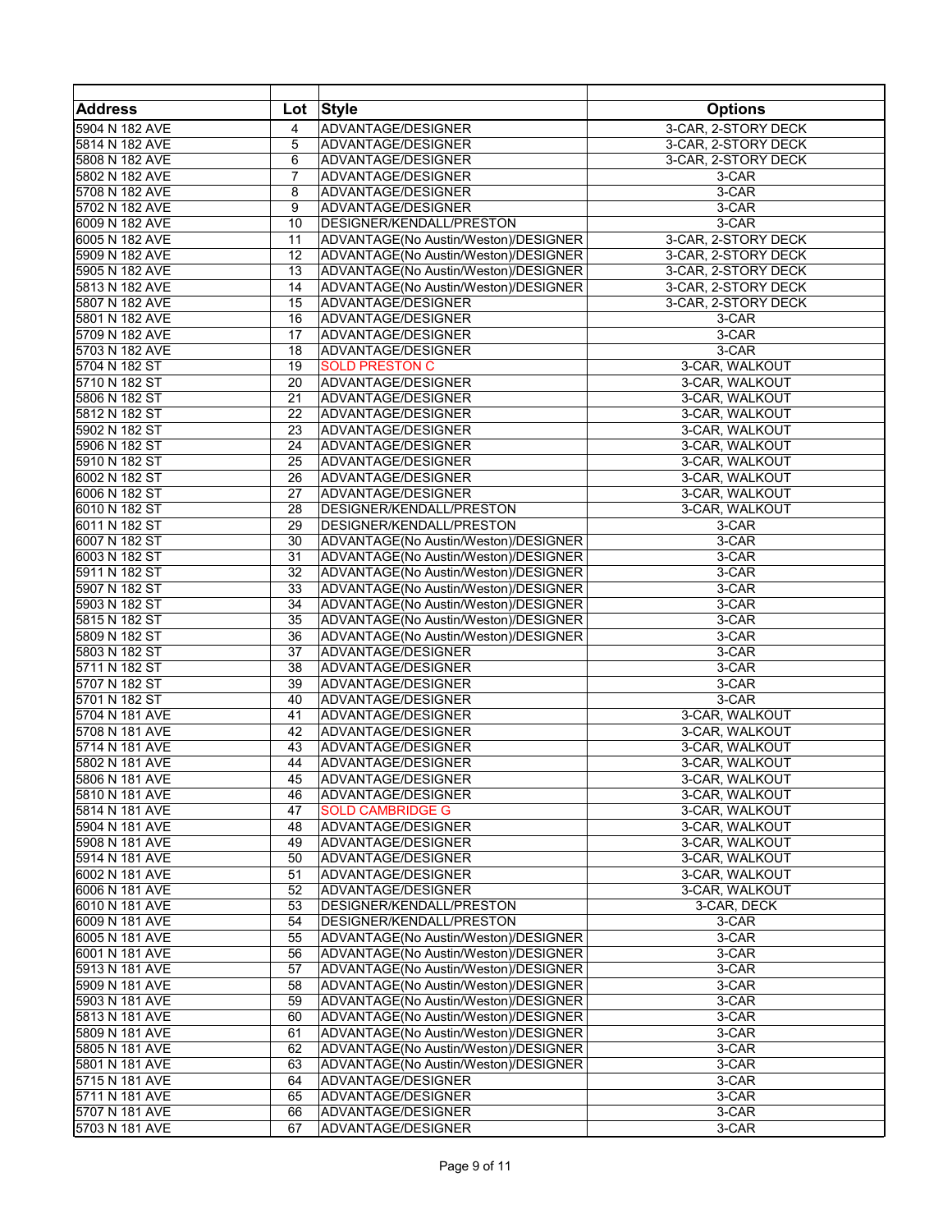| <b>Address</b> | Lot            | <b>Style</b>                         | <b>Options</b>      |
|----------------|----------------|--------------------------------------|---------------------|
| 5904 N 182 AVE | 4              | ADVANTAGE/DESIGNER                   | 3-CAR, 2-STORY DECK |
| 5814 N 182 AVE | 5              | ADVANTAGE/DESIGNER                   | 3-CAR, 2-STORY DECK |
| 5808 N 182 AVE | 6              | ADVANTAGE/DESIGNER                   | 3-CAR, 2-STORY DECK |
| 5802 N 182 AVE | $\overline{7}$ | ADVANTAGE/DESIGNER                   | 3-CAR               |
| 5708 N 182 AVE | 8              | ADVANTAGE/DESIGNER                   | 3-CAR               |
| 5702 N 182 AVE | 9              | ADVANTAGE/DESIGNER                   | 3-CAR               |
| 6009 N 182 AVE | 10             | DESIGNER/KENDALL/PRESTON             | 3-CAR               |
| 6005 N 182 AVE | 11             | ADVANTAGE(No Austin/Weston)/DESIGNER | 3-CAR, 2-STORY DECK |
| 5909 N 182 AVE | 12             | ADVANTAGE(No Austin/Weston)/DESIGNER | 3-CAR, 2-STORY DECK |
| 5905 N 182 AVE | 13             | ADVANTAGE(No Austin/Weston)/DESIGNER | 3-CAR, 2-STORY DECK |
| 5813 N 182 AVE | 14             | ADVANTAGE(No Austin/Weston)/DESIGNER | 3-CAR, 2-STORY DECK |
| 5807 N 182 AVE | 15             | ADVANTAGE/DESIGNER                   | 3-CAR, 2-STORY DECK |
| 5801 N 182 AVE | 16             | ADVANTAGE/DESIGNER                   | 3-CAR               |
| 5709 N 182 AVE | 17             | ADVANTAGE/DESIGNER                   | 3-CAR               |
| 5703 N 182 AVE | 18             | ADVANTAGE/DESIGNER                   | 3-CAR               |
| 5704 N 182 ST  | 19             | <b>SOLD PRESTON C</b>                | 3-CAR, WALKOUT      |
| 5710 N 182 ST  | 20             | ADVANTAGE/DESIGNER                   | 3-CAR, WALKOUT      |
| 5806 N 182 ST  | 21             | ADVANTAGE/DESIGNER                   | 3-CAR, WALKOUT      |
| 5812 N 182 ST  | 22             | ADVANTAGE/DESIGNER                   | 3-CAR, WALKOUT      |
| 5902 N 182 ST  | 23             | ADVANTAGE/DESIGNER                   | 3-CAR, WALKOUT      |
| 5906 N 182 ST  | 24             | ADVANTAGE/DESIGNER                   | 3-CAR, WALKOUT      |
| 5910 N 182 ST  | 25             | ADVANTAGE/DESIGNER                   | 3-CAR, WALKOUT      |
| 6002 N 182 ST  | 26             | ADVANTAGE/DESIGNER                   | 3-CAR, WALKOUT      |
| 6006 N 182 ST  | 27             | ADVANTAGE/DESIGNER                   | 3-CAR, WALKOUT      |
| 6010 N 182 ST  | 28             | DESIGNER/KENDALL/PRESTON             |                     |
|                |                |                                      | 3-CAR, WALKOUT      |
| 6011 N 182 ST  | 29             | DESIGNER/KENDALL/PRESTON             | 3-CAR               |
| 6007 N 182 ST  | 30             | ADVANTAGE(No Austin/Weston)/DESIGNER | 3-CAR               |
| 6003 N 182 ST  | 31             | ADVANTAGE(No Austin/Weston)/DESIGNER | 3-CAR               |
| 5911 N 182 ST  | 32             | ADVANTAGE(No Austin/Weston)/DESIGNER | 3-CAR               |
| 5907 N 182 ST  | 33             | ADVANTAGE(No Austin/Weston)/DESIGNER | 3-CAR               |
| 5903 N 182 ST  | 34             | ADVANTAGE(No Austin/Weston)/DESIGNER | 3-CAR               |
| 5815 N 182 ST  | 35             | ADVANTAGE(No Austin/Weston)/DESIGNER | 3-CAR               |
| 5809 N 182 ST  | 36             | ADVANTAGE(No Austin/Weston)/DESIGNER | 3-CAR               |
| 5803 N 182 ST  | 37             | ADVANTAGE/DESIGNER                   | 3-CAR               |
| 5711 N 182 ST  | 38             | ADVANTAGE/DESIGNER                   | 3-CAR               |
| 5707 N 182 ST  | 39             | ADVANTAGE/DESIGNER                   | 3-CAR               |
| 5701 N 182 ST  | 40             | ADVANTAGE/DESIGNER                   | $3-CAR$             |
| 5704 N 181 AVE | 41             | ADVANTAGE/DESIGNER                   | 3-CAR, WALKOUT      |
| 5708 N 181 AVE | 42             | ADVANTAGE/DESIGNER                   | 3-CAR, WALKOUT      |
| 5714 N 181 AVE | 43             | ADVANTAGE/DESIGNER                   | 3-CAR, WALKOUT      |
| 5802 N 181 AVE | 44             | ADVANTAGE/DESIGNER                   | 3-CAR, WALKOUT      |
| 5806 N 181 AVE | 45             | ADVANTAGE/DESIGNER                   | 3-CAR, WALKOUT      |
| 5810 N 181 AVE | 46             | ADVANTAGE/DESIGNER                   | 3-CAR, WALKOUT      |
| 5814 N 181 AVE | 47             | <b>SOLD CAMBRIDGE G</b>              | 3-CAR, WALKOUT      |
| 5904 N 181 AVE | 48             | ADVANTAGE/DESIGNER                   | 3-CAR, WALKOUT      |
| 5908 N 181 AVE | 49             | ADVANTAGE/DESIGNER                   | 3-CAR, WALKOUT      |
| 5914 N 181 AVE | 50             | ADVANTAGE/DESIGNER                   | 3-CAR, WALKOUT      |
| 6002 N 181 AVE | 51             | ADVANTAGE/DESIGNER                   | 3-CAR. WALKOUT      |
| 6006 N 181 AVE | 52             | ADVANTAGE/DESIGNER                   | 3-CAR, WALKOUT      |
| 6010 N 181 AVE | 53             | DESIGNER/KENDALL/PRESTON             | 3-CAR, DECK         |
| 6009 N 181 AVE | 54             | DESIGNER/KENDALL/PRESTON             | 3-CAR               |
| 6005 N 181 AVE | 55             | ADVANTAGE(No Austin/Weston)/DESIGNER | 3-CAR               |
| 6001 N 181 AVE | 56             | ADVANTAGE(No Austin/Weston)/DESIGNER | 3-CAR               |
| 5913 N 181 AVE | 57             | ADVANTAGE(No Austin/Weston)/DESIGNER | 3-CAR               |
| 5909 N 181 AVE | 58             | ADVANTAGE(No Austin/Weston)/DESIGNER | 3-CAR               |
| 5903 N 181 AVE | 59             | ADVANTAGE(No Austin/Weston)/DESIGNER | 3-CAR               |
|                |                |                                      |                     |
| 5813 N 181 AVE | 60             | ADVANTAGE(No Austin/Weston)/DESIGNER | 3-CAR               |
| 5809 N 181 AVE | 61             | ADVANTAGE(No Austin/Weston)/DESIGNER | 3-CAR               |
| 5805 N 181 AVE | 62             | ADVANTAGE(No Austin/Weston)/DESIGNER | 3-CAR               |
| 5801 N 181 AVE | 63             | ADVANTAGE(No Austin/Weston)/DESIGNER | 3-CAR               |
| 5715 N 181 AVE | 64             | ADVANTAGE/DESIGNER                   | 3-CAR               |
| 5711 N 181 AVE | 65             | ADVANTAGE/DESIGNER                   | 3-CAR               |
| 5707 N 181 AVE | 66             | ADVANTAGE/DESIGNER                   | 3-CAR               |
| 5703 N 181 AVE | 67             | ADVANTAGE/DESIGNER                   | 3-CAR               |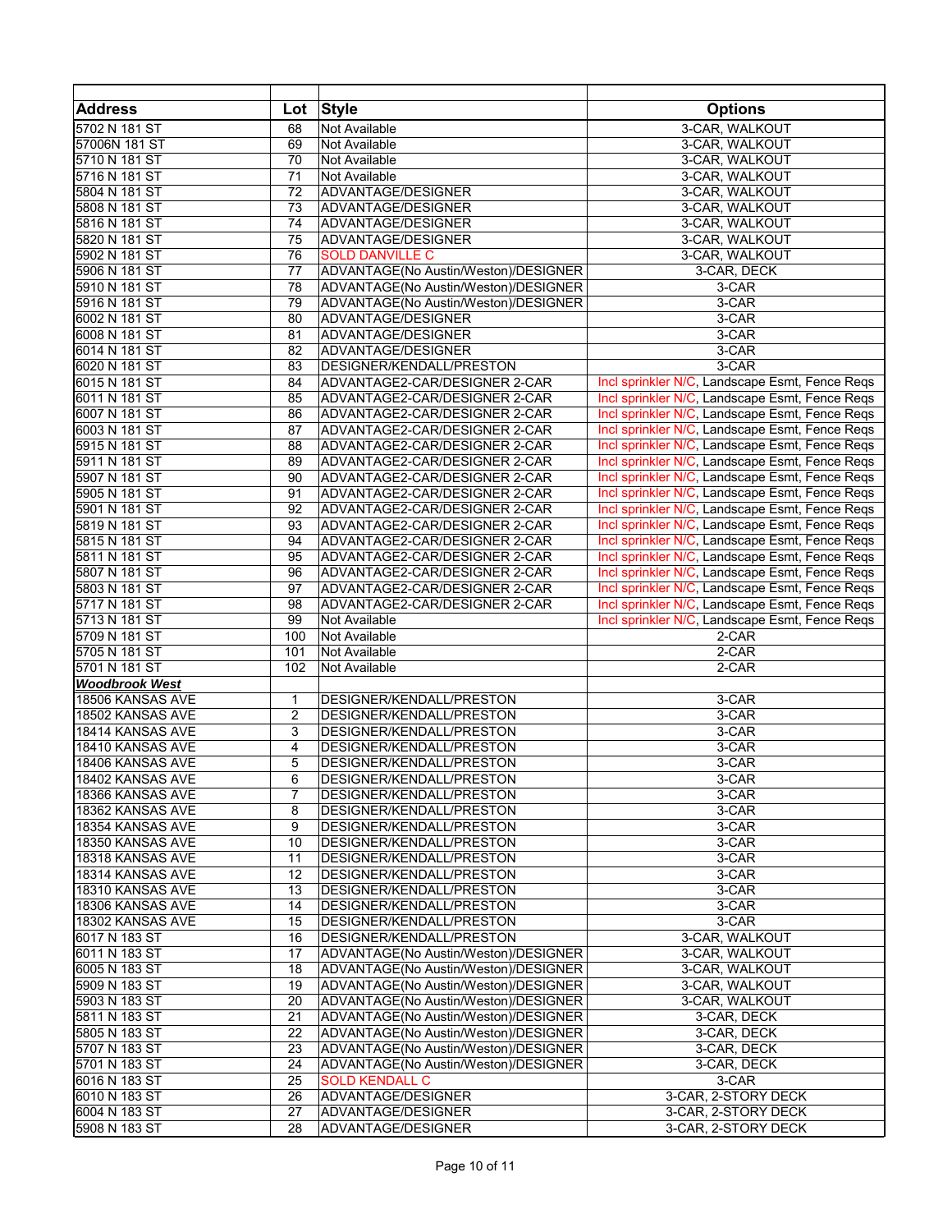| <b>Address</b>        | Lot            | <b>Style</b>                         | <b>Options</b>                                 |
|-----------------------|----------------|--------------------------------------|------------------------------------------------|
| 5702 N 181 ST         | 68             | Not Available                        | 3-CAR, WALKOUT                                 |
| 57006N 181 ST         | 69             | Not Available                        | 3-CAR, WALKOUT                                 |
| 5710 N 181 ST         | 70             | Not Available                        | 3-CAR, WALKOUT                                 |
| 5716 N 181 ST         | 71             | Not Available                        | 3-CAR, WALKOUT                                 |
| 5804 N 181 ST         | 72             | ADVANTAGE/DESIGNER                   | 3-CAR, WALKOUT                                 |
| 5808 N 181 ST         | 73             | ADVANTAGE/DESIGNER                   | 3-CAR, WALKOUT                                 |
| 5816 N 181 ST         | 74             | ADVANTAGE/DESIGNER                   |                                                |
|                       |                |                                      | 3-CAR, WALKOUT                                 |
| 5820 N 181 ST         | 75             | ADVANTAGE/DESIGNER                   | 3-CAR, WALKOUT                                 |
| 5902 N 181 ST         | 76             | <b>SOLD DANVILLE C</b>               | 3-CAR, WALKOUT                                 |
| 5906 N 181 ST         | 77             | ADVANTAGE(No Austin/Weston)/DESIGNER | 3-CAR, DECK                                    |
| 5910 N 181 ST         | 78             | ADVANTAGE(No Austin/Weston)/DESIGNER | 3-CAR                                          |
| 5916 N 181 ST         | 79             | ADVANTAGE(No Austin/Weston)/DESIGNER | 3-CAR                                          |
| 6002 N 181 ST         | 80             | ADVANTAGE/DESIGNER                   | 3-CAR                                          |
| 6008 N 181 ST         | 81             | ADVANTAGE/DESIGNER                   | 3-CAR                                          |
| 6014 N 181 ST         | 82             | ADVANTAGE/DESIGNER                   | 3-CAR                                          |
| 6020 N 181 ST         | 83             | DESIGNER/KENDALL/PRESTON             | 3-CAR                                          |
| 6015 N 181 ST         | 84             | ADVANTAGE2-CAR/DESIGNER 2-CAR        | Incl sprinkler N/C, Landscape Esmt, Fence Reqs |
| 6011 N 181 ST         | 85             | ADVANTAGE2-CAR/DESIGNER 2-CAR        | Incl sprinkler N/C, Landscape Esmt, Fence Regs |
| 6007 N 181 ST         | 86             | ADVANTAGE2-CAR/DESIGNER 2-CAR        | Incl sprinkler N/C, Landscape Esmt, Fence Reqs |
| 6003 N 181 ST         | 87             | ADVANTAGE2-CAR/DESIGNER 2-CAR        | Incl sprinkler N/C, Landscape Esmt, Fence Reqs |
| 5915 N 181 ST         | 88             | ADVANTAGE2-CAR/DESIGNER 2-CAR        | Incl sprinkler N/C, Landscape Esmt, Fence Regs |
| 5911 N 181 ST         | 89             | ADVANTAGE2-CAR/DESIGNER 2-CAR        | Incl sprinkler N/C, Landscape Esmt, Fence Reqs |
| 5907 N 181 ST         | 90             | ADVANTAGE2-CAR/DESIGNER 2-CAR        | Incl sprinkler N/C, Landscape Esmt, Fence Reqs |
| 5905 N 181 ST         | 91             | ADVANTAGE2-CAR/DESIGNER 2-CAR        | Incl sprinkler N/C, Landscape Esmt, Fence Reqs |
| 5901 N 181 ST         | 92             | ADVANTAGE2-CAR/DESIGNER 2-CAR        | Incl sprinkler N/C, Landscape Esmt, Fence Reqs |
|                       |                |                                      |                                                |
| 5819 N 181 ST         | 93             | ADVANTAGE2-CAR/DESIGNER 2-CAR        | Incl sprinkler N/C, Landscape Esmt, Fence Regs |
| 5815 N 181 ST         | 94             | ADVANTAGE2-CAR/DESIGNER 2-CAR        | Incl sprinkler N/C, Landscape Esmt, Fence Reqs |
| 5811 N 181 ST         | 95             | ADVANTAGE2-CAR/DESIGNER 2-CAR        | Incl sprinkler N/C, Landscape Esmt, Fence Reqs |
| 5807 N 181 ST         | 96             | ADVANTAGE2-CAR/DESIGNER 2-CAR        | Incl sprinkler N/C, Landscape Esmt, Fence Reqs |
| 5803 N 181 ST         | 97             | ADVANTAGE2-CAR/DESIGNER 2-CAR        | Incl sprinkler N/C, Landscape Esmt, Fence Reqs |
| 5717 N 181 ST         | 98             | ADVANTAGE2-CAR/DESIGNER 2-CAR        | Incl sprinkler N/C, Landscape Esmt, Fence Reqs |
| 5713 N 181 ST         | 99             | Not Available                        | Incl sprinkler N/C, Landscape Esmt, Fence Reqs |
| 5709 N 181 ST         | 100            | Not Available                        | 2-CAR                                          |
| 5705 N 181 ST         | 101            | Not Available                        | 2-CAR                                          |
| 5701 N 181 ST         | 102            | Not Available                        | $2-CAR$                                        |
| <b>Woodbrook West</b> |                |                                      |                                                |
| 18506 KANSAS AVE      | 1              | DESIGNER/KENDALL/PRESTON             | $3-CAR$                                        |
| 18502 KANSAS AVE      | $\overline{2}$ | DESIGNER/KENDALL/PRESTON             | 3-CAR                                          |
| 18414 KANSAS AVE      | 3              | DESIGNER/KENDALL/PRESTON             | 3-CAR                                          |
| 18410 KANSAS AVE      | 4              | DESIGNER/KENDALL/PRESTON             | 3-CAR                                          |
| 18406 KANSAS AVE      | 5              | DESIGNER/KENDALL/PRESTON             | 3-CAR                                          |
| 18402 KANSAS AVE      | 6              | DESIGNER/KENDALL/PRESTON             | 3-CAR                                          |
| 18366 KANSAS AVE      | 7              | DESIGNER/KENDALL/PRESTON             | 3-CAR                                          |
| 18362 KANSAS AVE      | 8              | DESIGNER/KENDALL/PRESTON             | 3-CAR                                          |
| 18354 KANSAS AVE      | 9              | DESIGNER/KENDALL/PRESTON             | 3-CAR                                          |
|                       | 10             |                                      | 3-CAR                                          |
| 18350 KANSAS AVE      |                | DESIGNER/KENDALL/PRESTON             |                                                |
| 18318 KANSAS AVE      | 11             | DESIGNER/KENDALL/PRESTON             | 3-CAR                                          |
| 18314 KANSAS AVE      | 12             | DESIGNER/KENDALL/PRESTON             | 3-CAR                                          |
| 18310 KANSAS AVE      | 13             | DESIGNER/KENDALL/PRESTON             | 3-CAR                                          |
| 18306 KANSAS AVE      | 14             | DESIGNER/KENDALL/PRESTON             | 3-CAR                                          |
| 18302 KANSAS AVE      | 15             | DESIGNER/KENDALL/PRESTON             | 3-CAR                                          |
| 6017 N 183 ST         | 16             | DESIGNER/KENDALL/PRESTON             | 3-CAR, WALKOUT                                 |
| 6011 N 183 ST         | 17             | ADVANTAGE(No Austin/Weston)/DESIGNER | 3-CAR, WALKOUT                                 |
| 6005 N 183 ST         | 18             | ADVANTAGE(No Austin/Weston)/DESIGNER | 3-CAR. WALKOUT                                 |
| 5909 N 183 ST         | 19             | ADVANTAGE(No Austin/Weston)/DESIGNER | 3-CAR, WALKOUT                                 |
| 5903 N 183 ST         | 20             | ADVANTAGE(No Austin/Weston)/DESIGNER | 3-CAR, WALKOUT                                 |
| 5811 N 183 ST         | 21             | ADVANTAGE(No Austin/Weston)/DESIGNER | 3-CAR, DECK                                    |
| 5805 N 183 ST         | 22             | ADVANTAGE(No Austin/Weston)/DESIGNER | 3-CAR, DECK                                    |
| 5707 N 183 ST         | 23             | ADVANTAGE(No Austin/Weston)/DESIGNER | 3-CAR, DECK                                    |
| 5701 N 183 ST         | 24             | ADVANTAGE(No Austin/Weston)/DESIGNER | 3-CAR, DECK                                    |
| 6016 N 183 ST         | 25             | <b>SOLD KENDALL C</b>                | 3-CAR                                          |
| 6010 N 183 ST         | 26             | ADVANTAGE/DESIGNER                   | 3-CAR, 2-STORY DECK                            |
| 6004 N 183 ST         | 27             | ADVANTAGE/DESIGNER                   | 3-CAR, 2-STORY DECK                            |
| 5908 N 183 ST         | 28             | ADVANTAGE/DESIGNER                   | 3-CAR, 2-STORY DECK                            |
|                       |                |                                      |                                                |